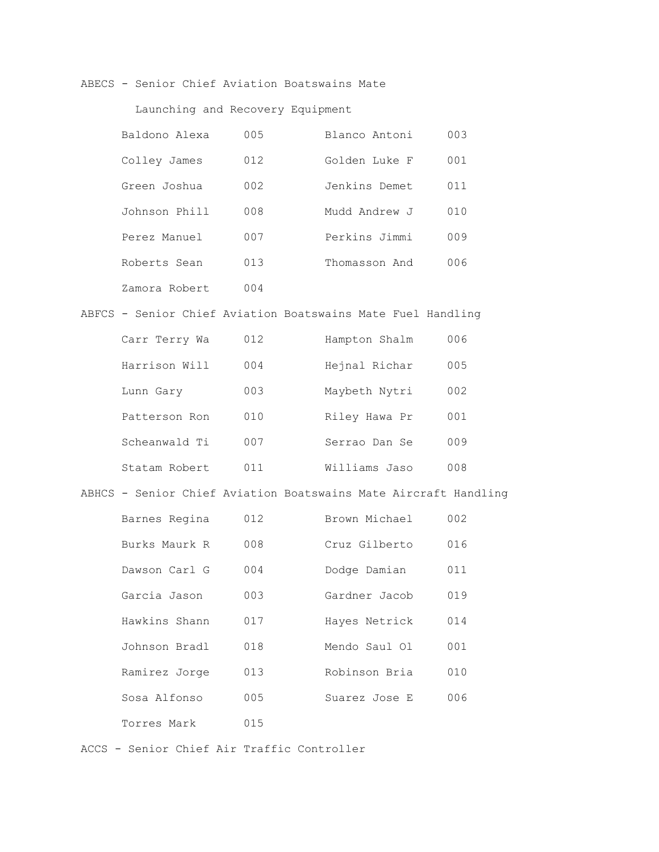ABECS - Senior Chief Aviation Boatswains Mate

### Launching and Recovery Equipment

| Baldono Alexa | 005 | Blanco Antoni | 003 |
|---------------|-----|---------------|-----|
| Colley James  | 012 | Golden Luke F | 001 |
| Green Joshua  | 002 | Jenkins Demet | 011 |
| Johnson Phill | 008 | J warbor bill | 010 |
| Perez Manuel  | 007 | Perkins Jimmi | 009 |
| Roberts Sean  | 013 | Thomasson And | 006 |
| Zamora Robert | 004 |               |     |

### ABFCS - Senior Chief Aviation Boatswains Mate Fuel Handling

| Carr Terry Wa | 012 | Hampton Shalm | 006 |
|---------------|-----|---------------|-----|
| Harrison Will | 004 | Hejnal Richar | 005 |
| Lunn Gary     | 003 | Maybeth Nytri | 002 |
| Patterson Ron | 010 | Riley Hawa Pr | 001 |
| Scheanwald Ti | 007 | Serrao Dan Se | 009 |
| Statam Robert | 011 | Williams Jaso | 008 |

## ABHCS - Senior Chief Aviation Boatswains Mate Aircraft Handling

| Barnes Regina | 012 | Brown Michael | 002 |
|---------------|-----|---------------|-----|
| Burks Maurk R | 008 | Cruz Gilberto | 016 |
| Dawson Carl G | 004 | Dodge Damian  | 011 |
| Garcia Jason  | 003 | Gardner Jacob | 019 |
| Hawkins Shann | 017 | Hayes Netrick | 014 |
| Johnson Bradl | 018 | Mendo Saul Ol | 001 |
| Ramirez Jorge | 013 | Robinson Bria | 010 |
| Sosa Alfonso  | 005 | Suarez Jose E | 006 |
| Torres Mark   | 015 |               |     |

ACCS - Senior Chief Air Traffic Controller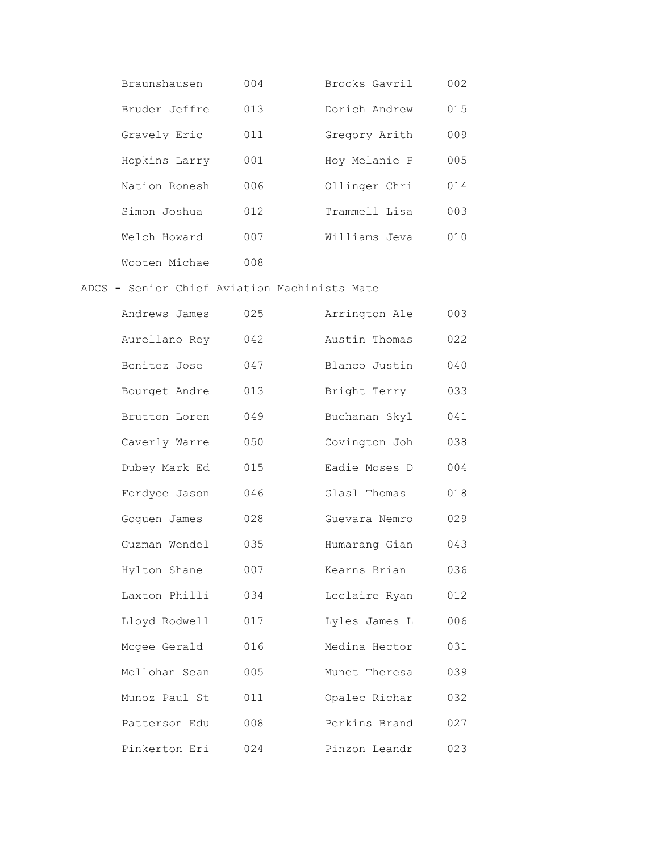| Braunshausen  | 004 | Brooks Gavril | 002 |
|---------------|-----|---------------|-----|
| Bruder Jeffre | 013 | Dorich Andrew | 015 |
| Gravely Eric  | 011 | Gregory Arith | 009 |
| Hopkins Larry | 001 | Hoy Melanie P | 005 |
| Nation Ronesh | 006 | Ollinger Chri | 014 |
| Simon Joshua  | 012 | Trammell Lisa | 003 |
| Welch Howard  | 007 | Williams Jeva | 010 |
| Wooten Michae | 008 |               |     |

### ADCS - Senior Chief Aviation Machinists Mate

| Andrews James | 025 | Arrington Ale | 003 |
|---------------|-----|---------------|-----|
| Aurellano Rey | 042 | Austin Thomas | 022 |
| Benitez Jose  | 047 | Blanco Justin | 040 |
| Bourget Andre | 013 | Bright Terry  | 033 |
| Brutton Loren | 049 | Buchanan Skyl | 041 |
| Caverly Warre | 050 | Covington Joh | 038 |
| Dubey Mark Ed | 015 | Eadie Moses D | 004 |
| Fordyce Jason | 046 | Glasl Thomas  | 018 |
| Goquen James  | 028 | Guevara Nemro | 029 |
| Guzman Wendel | 035 | Humarang Gian | 043 |
| Hylton Shane  | 007 | Kearns Brian  | 036 |
| Laxton Philli | 034 | Leclaire Ryan | 012 |
| Lloyd Rodwell | 017 | Lyles James L | 006 |
| Mcgee Gerald  | 016 | Medina Hector | 031 |
| Mollohan Sean | 005 | Munet Theresa | 039 |
| Munoz Paul St | 011 | Opalec Richar | 032 |
| Patterson Edu | 008 | Perkins Brand | 027 |
| Pinkerton Eri | 024 | Pinzon Leandr | 023 |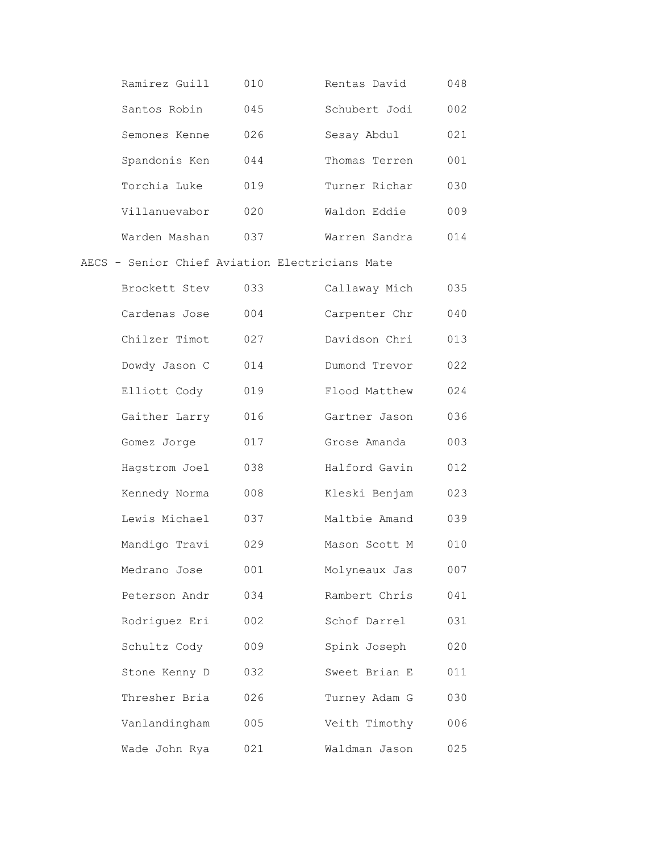| Ramirez Guill | 010 | Rentas David  | 048 |
|---------------|-----|---------------|-----|
| Santos Robin  | 045 | Schubert Jodi | 002 |
| Semones Kenne | 026 | Sesay Abdul   | 021 |
| Spandonis Ken | 044 | Thomas Terren | 001 |
| Torchia Luke  | 019 | Turner Richar | 030 |
| Villanuevabor | 020 | Waldon Eddie  | 009 |
| Warden Mashan | 037 | Warren Sandra | 014 |

### AECS - Senior Chief Aviation Electricians Mate

| Brockett Stev | 033 | Callaway Mich | 035 |
|---------------|-----|---------------|-----|
| Cardenas Jose | 004 | Carpenter Chr | 040 |
| Chilzer Timot | 027 | Davidson Chri | 013 |
| Dowdy Jason C | 014 | Dumond Trevor | 022 |
| Elliott Cody  | 019 | Flood Matthew | 024 |
| Gaither Larry | 016 | Gartner Jason | 036 |
| Gomez Jorge   | 017 | Grose Amanda  | 003 |
| Hagstrom Joel | 038 | Halford Gavin | 012 |
| Kennedy Norma | 008 | Kleski Benjam | 023 |
| Lewis Michael | 037 | Maltbie Amand | 039 |
| Mandigo Travi | 029 | Mason Scott M | 010 |
| Medrano Jose  | 001 | Molyneaux Jas | 007 |
| Peterson Andr | 034 | Rambert Chris | 041 |
| Rodriguez Eri | 002 | Schof Darrel  | 031 |
| Schultz Cody  | 009 | Spink Joseph  | 020 |
| Stone Kenny D | 032 | Sweet Brian E | 011 |
| Thresher Bria | 026 | Turney Adam G | 030 |
| Vanlandingham | 005 | Veith Timothy | 006 |
| Wade John Rya | 021 | Waldman Jason | 025 |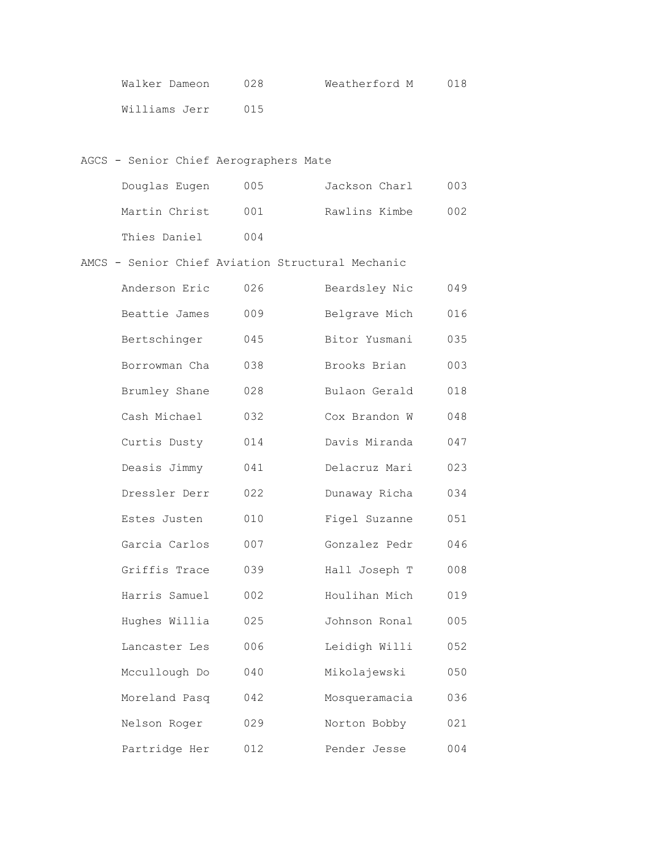| Walker Dameon | 028 | Weatherford M | 018 |
|---------------|-----|---------------|-----|
| Williams Jerr | 015 |               |     |

## AGCS - Senior Chief Aerographers Mate

| Douglas Eugen | 005 | Jackson Charl | 003 |
|---------------|-----|---------------|-----|
| Martin Christ | 001 | Rawlins Kimbe | 002 |
| Thies Daniel  | 004 |               |     |

AMCS - Senior Chief Aviation Structural Mechanic

| Anderson Eric | 026 | Beardsley Nic | 049 |
|---------------|-----|---------------|-----|
| Beattie James | 009 | Belgrave Mich | 016 |
| Bertschinger  | 045 | Bitor Yusmani | 035 |
| Borrowman Cha | 038 | Brooks Brian  | 003 |
| Brumley Shane | 028 | Bulaon Gerald | 018 |
| Cash Michael  | 032 | Cox Brandon W | 048 |
| Curtis Dusty  | 014 | Davis Miranda | 047 |
| Deasis Jimmy  | 041 | Delacruz Mari | 023 |
| Dressler Derr | 022 | Dunaway Richa | 034 |
| Estes Justen  | 010 | Figel Suzanne | 051 |
| Garcia Carlos | 007 | Gonzalez Pedr | 046 |
| Griffis Trace | 039 | Hall Joseph T | 008 |
| Harris Samuel | 002 | Houlihan Mich | 019 |
| Hughes Willia | 025 | Johnson Ronal | 005 |
| Lancaster Les | 006 | Leidigh Willi | 052 |
| Mccullough Do | 040 | Mikolajewski  | 050 |
| Moreland Pasq | 042 | Mosqueramacia | 036 |
| Nelson Roger  | 029 | Norton Bobby  | 021 |
| Partridge Her | 012 | Pender Jesse  | 004 |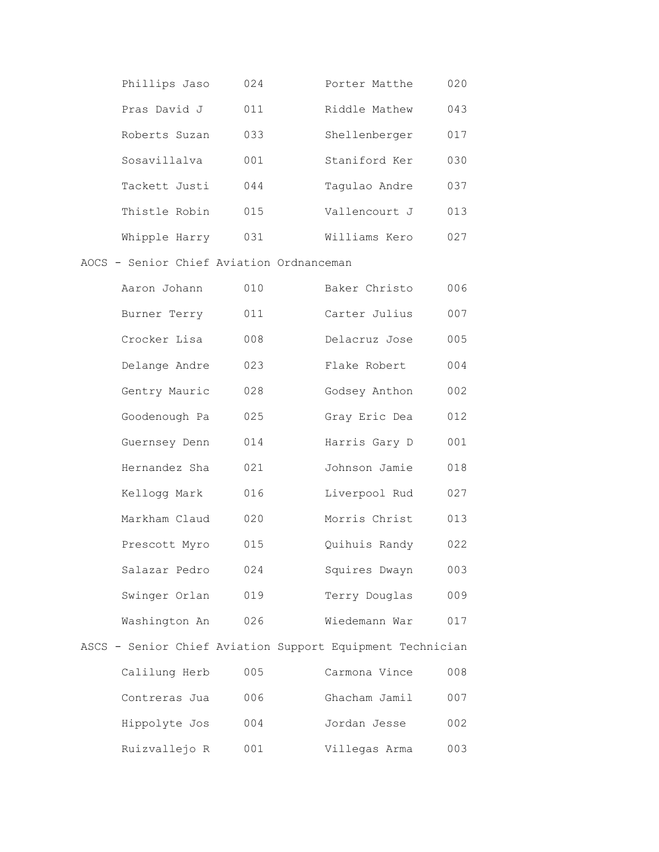| Phillips Jaso | 024             | Porter Matthe | 020 |
|---------------|-----------------|---------------|-----|
| Pras David J  | 011             | Riddle Mathew | 043 |
| Roberts Suzan | 033             | Shellenberger | 017 |
| Sosavillalva  | 0 <sub>01</sub> | Staniford Ker | 030 |
| Tackett Justi | 044             | Taqulao Andre | 037 |
| Thistle Robin | 015             | Vallencourt J | 013 |
| Whipple Harry | 0.31            | Williams Kero | 027 |

AOCS - Senior Chief Aviation Ordnanceman

| Aaron Johann  | 010 | Baker Christo | 006 |
|---------------|-----|---------------|-----|
| Burner Terry  | 011 | Carter Julius | 007 |
| Crocker Lisa  | 008 | Delacruz Jose | 005 |
| Delange Andre | 023 | Flake Robert  | 004 |
| Gentry Mauric | 028 | Godsey Anthon | 002 |
| Goodenough Pa | 025 | Gray Eric Dea | 012 |
| Guernsey Denn | 014 | Harris Gary D | 001 |
| Hernandez Sha | 021 | Johnson Jamie | 018 |
| Kellogg Mark  | 016 | Liverpool Rud | 027 |
| Markham Claud | 020 | Morris Christ | 013 |
| Prescott Myro | 015 | Quihuis Randy | 022 |
| Salazar Pedro | 024 | Squires Dwayn | 003 |
| Swinger Orlan | 019 | Terry Douglas | 009 |
| Washington An | 026 | Wiedemann War | 017 |
|               |     |               |     |

|               |     | ASCS - Senior Chief Aviation Support Equipment Technician |     |
|---------------|-----|-----------------------------------------------------------|-----|
| Calilung Herb | 005 | Carmona Vince                                             | 008 |
| Contreras Jua | 006 | Ghacham Jamil                                             | 007 |
| Hippolyte Jos | 004 | Jordan Jesse                                              | 002 |
| Ruizvallejo R | 001 | Villegas Arma                                             | 003 |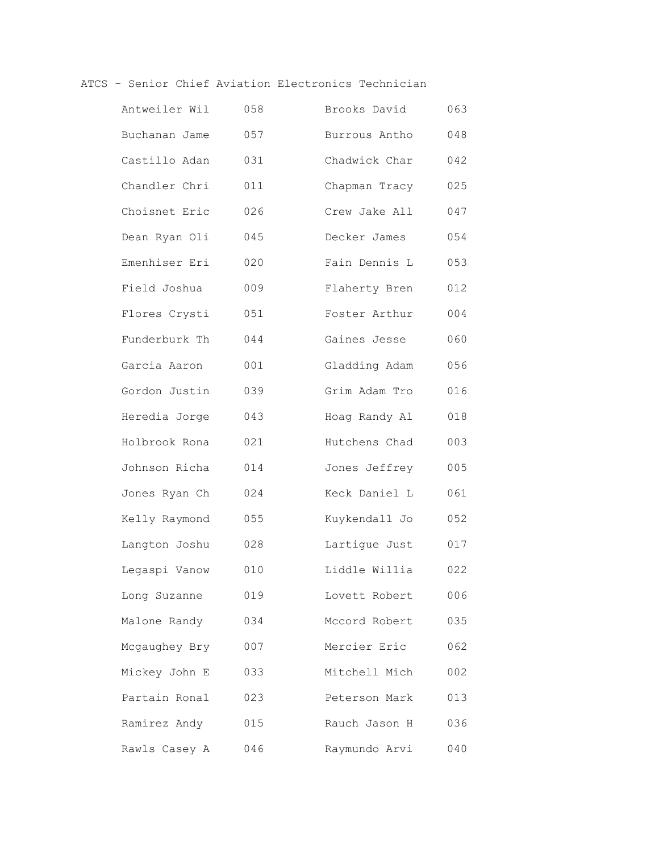### ATCS - Senior Chief Aviation Electronics Technician

| Antweiler Wil | 058 | Brooks David  | 063 |
|---------------|-----|---------------|-----|
| Buchanan Jame | 057 | Burrous Antho | 048 |
| Castillo Adan | 031 | Chadwick Char | 042 |
| Chandler Chri | 011 | Chapman Tracy | 025 |
| Choisnet Eric | 026 | Crew Jake All | 047 |
| Dean Ryan Oli | 045 | Decker James  | 054 |
| Emenhiser Eri | 020 | Fain Dennis L | 053 |
| Field Joshua  | 009 | Flaherty Bren | 012 |
| Flores Crysti | 051 | Foster Arthur | 004 |
| Funderburk Th | 044 | Gaines Jesse  | 060 |
| Garcia Aaron  | 001 | Gladding Adam | 056 |
| Gordon Justin | 039 | Grim Adam Tro | 016 |
| Heredia Jorge | 043 | Hoag Randy Al | 018 |
| Holbrook Rona | 021 | Hutchens Chad | 003 |
| Johnson Richa | 014 | Jones Jeffrey | 005 |
| Jones Ryan Ch | 024 | Keck Daniel L | 061 |
| Kelly Raymond | 055 | Kuykendall Jo | 052 |
| Langton Joshu | 028 | Lartique Just | 017 |
| Legaspi Vanow | 010 | Liddle Willia | 022 |
| Long Suzanne  | 019 | Lovett Robert | 006 |
| Malone Randy  | 034 | Mccord Robert | 035 |
| Mcgaughey Bry | 007 | Mercier Eric  | 062 |
| Mickey John E | 033 | Mitchell Mich | 002 |
| Partain Ronal | 023 | Peterson Mark | 013 |
| Ramirez Andy  | 015 | Rauch Jason H | 036 |
| Rawls Casey A | 046 | Raymundo Arvi | 040 |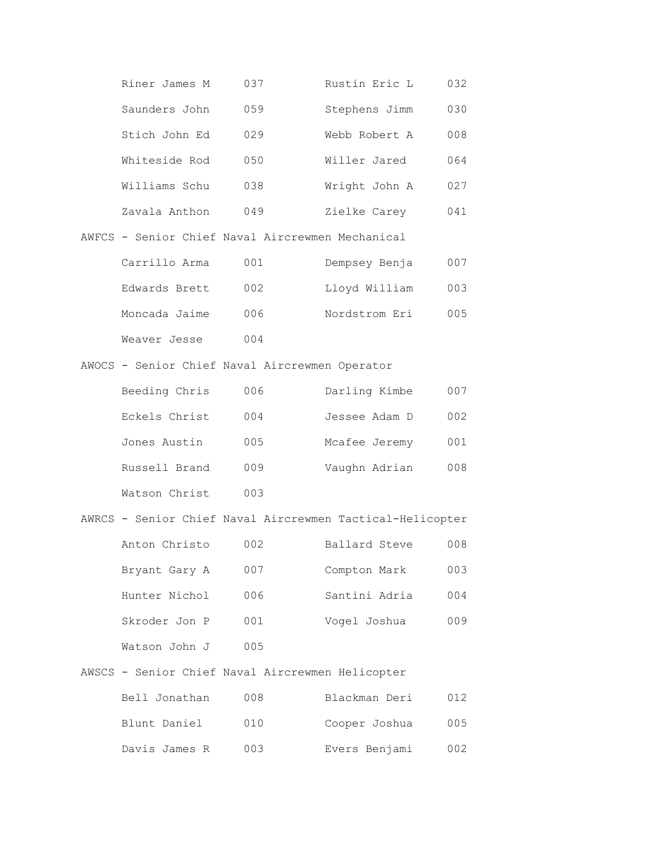| Riner James M                                    | 037 | Rustin Eric L | 032 |
|--------------------------------------------------|-----|---------------|-----|
| Saunders John                                    | 059 | Stephens Jimm | 030 |
| Stich John Ed                                    | 029 | Webb Robert A | 008 |
| Whiteside Rod                                    | 050 | Willer Jared  | 064 |
| Williams Schu                                    | 038 | Wright John A | 027 |
| Zavala Anthon                                    | 049 | Zielke Carey  | 041 |
| AWFCS - Senior Chief Naval Aircrewmen Mechanical |     |               |     |
| Carrillo Arma                                    | 001 | Dempsey Benja | በበ7 |

| Edwards Brett | 002 | Lloyd William | 003 |
|---------------|-----|---------------|-----|
| Moncada Jaime | 006 | Nordstrom Eri | 005 |
| Weaver Jesse  | 004 |               |     |

AWOCS - Senior Chief Naval Aircrewmen Operator

| Beeding Chris | 006 | Darling Kimbe | 007 |
|---------------|-----|---------------|-----|
| Eckels Christ | 004 | Jessee Adam D | 002 |
| Jones Austin  | 005 | Mcafee Jeremy | 001 |
| Russell Brand | 009 | Vaughn Adrian | 008 |
| Watson Christ | 003 |               |     |

|               |     | AWRCS - Senior Chief Naval Aircrewmen Tactical-Helicopter |     |
|---------------|-----|-----------------------------------------------------------|-----|
| Anton Christo | 002 | Ballard Steve                                             | 008 |
| Bryant Gary A | 007 | Compton Mark                                              | 003 |
| Hunter Nichol | 006 | Santini Adria                                             | 004 |
| Skroder Jon P | 001 | Voqel Joshua                                              | 009 |
| Watson John J | 005 |                                                           |     |

AWSCS - Senior Chief Naval Aircrewmen Helicopter

| Bell Jonathan | 008 | Blackman Deri | 012 |
|---------------|-----|---------------|-----|
| Blunt Daniel  | 010 | Cooper Joshua | 005 |
| Davis James R | 003 | Evers Benjami | 002 |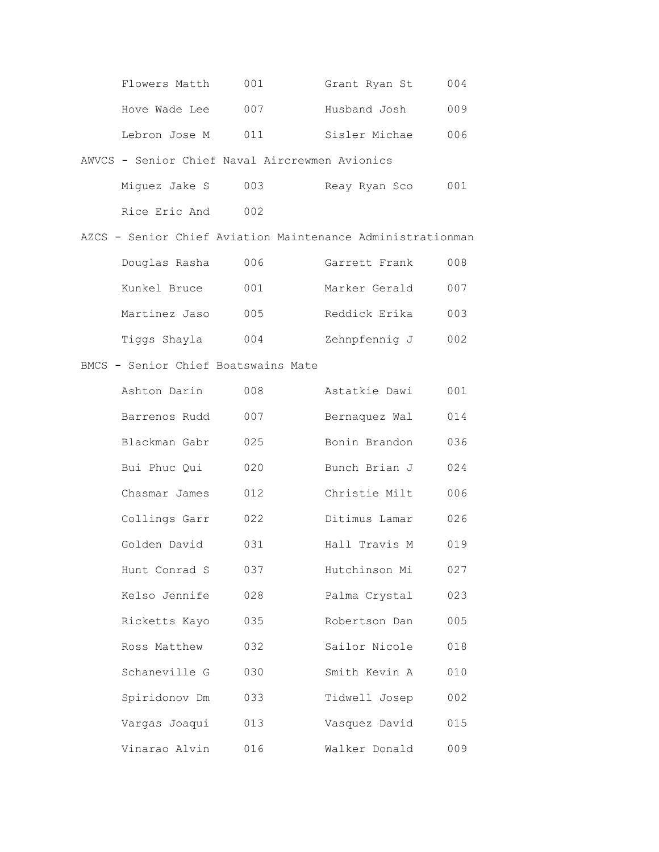| Flowers Matth | 001 | Grant Ryan St | 004 |
|---------------|-----|---------------|-----|
| Hove Wade Lee | 007 | Husband Josh  | 009 |
| Lebron Jose M | 011 | Sisler Michae | 006 |

### AWVCS - Senior Chief Naval Aircrewmen Avionics

| Miquez Jake S | 003 | Reay Ryan Sco | 001 |
|---------------|-----|---------------|-----|
| Rice Eric And | 002 |               |     |

### AZCS - Senior Chief Aviation Maintenance Administrationman

| Douglas Rasha | 006 | Garrett Frank | 008 |
|---------------|-----|---------------|-----|
| Kunkel Bruce  | 001 | Marker Gerald | 007 |
| Martinez Jaso | 005 | Reddick Erika | 003 |
| Tiggs Shayla  | 004 | Zehnpfennig J | 002 |

#### BMCS - Senior Chief Boatswains Mate

| Ashton Darin  | 008 | Astatkie Dawi | 001 |
|---------------|-----|---------------|-----|
| Barrenos Rudd | 007 | Bernaquez Wal | 014 |
| Blackman Gabr | 025 | Bonin Brandon | 036 |
| Bui Phuc Oui  | 020 | Bunch Brian J | 024 |
| Chasmar James | 012 | Christie Milt | 006 |
| Collings Garr | 022 | Ditimus Lamar | 026 |
| Golden David  | 031 | Hall Travis M | 019 |
| Hunt Conrad S | 037 | Hutchinson Mi | 027 |
| Kelso Jennife | 028 | Palma Crystal | 023 |
| Ricketts Kayo | 035 | Robertson Dan | 005 |
| Ross Matthew  | 032 | Sailor Nicole | 018 |
| Schaneville G | 030 | Smith Kevin A | 010 |
| Spiridonov Dm | 033 | Tidwell Josep | 002 |
| Vargas Joaqui | 013 | Vasquez David | 015 |
| Vinarao Alvin | 016 | Walker Donald | 009 |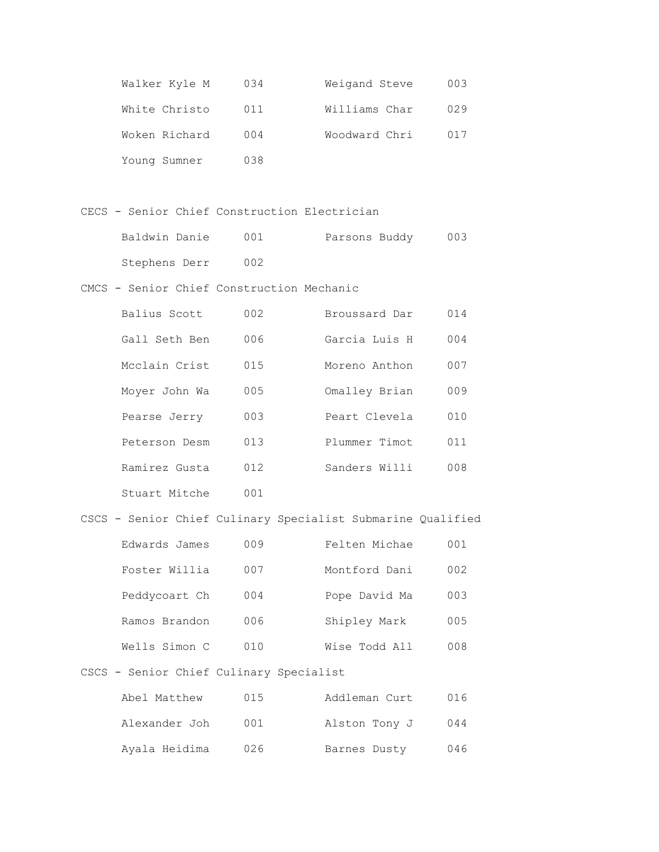| Walker Kyle M | 034 | Weigand Steve | 003 |
|---------------|-----|---------------|-----|
| White Christo | 011 | Williams Char | 029 |
| Woken Richard | 004 | Woodward Chri | 017 |
| Young Sumner  | 038 |               |     |

CECS - Senior Chief Construction Electrician

| Baldwin Danie | 001 | Parsons Buddy | 003 |
|---------------|-----|---------------|-----|
| Stephens Derr | 002 |               |     |

CMCS - Senior Chief Construction Mechanic

| Balius Scott  | 002 | Broussard Dar | 014 |
|---------------|-----|---------------|-----|
| Gall Seth Ben | 006 | Garcia Luis H | 004 |
| Mcclain Crist | 015 | Moreno Anthon | 007 |
| Moyer John Wa | 005 | Omalley Brian | 009 |
| Pearse Jerry  | 003 | Peart Clevela | 010 |
| Peterson Desm | 013 | Plummer Timot | 011 |
| Ramirez Gusta | 012 | Sanders Willi | 008 |
| Stuart Mitche | 001 |               |     |

# CSCS - Senior Chief Culinary Specialist Submarine Qualified

| Edwards James | 009 | Felten Michae | 001 |
|---------------|-----|---------------|-----|
| Foster Willia | 007 | Montford Dani | 002 |
| Peddycoart Ch | 004 | Pope David Ma | 003 |
| Ramos Brandon | 006 | Shipley Mark  | 005 |
| Wells Simon C | 010 | Wise Todd All | 008 |

# CSCS - Senior Chief Culinary Specialist

| Abel Matthew  | 015 | Addleman Curt | 016 |
|---------------|-----|---------------|-----|
| Alexander Joh | 001 | Alston Tony J | 044 |
| Ayala Heidima | 026 | Barnes Dusty  | 046 |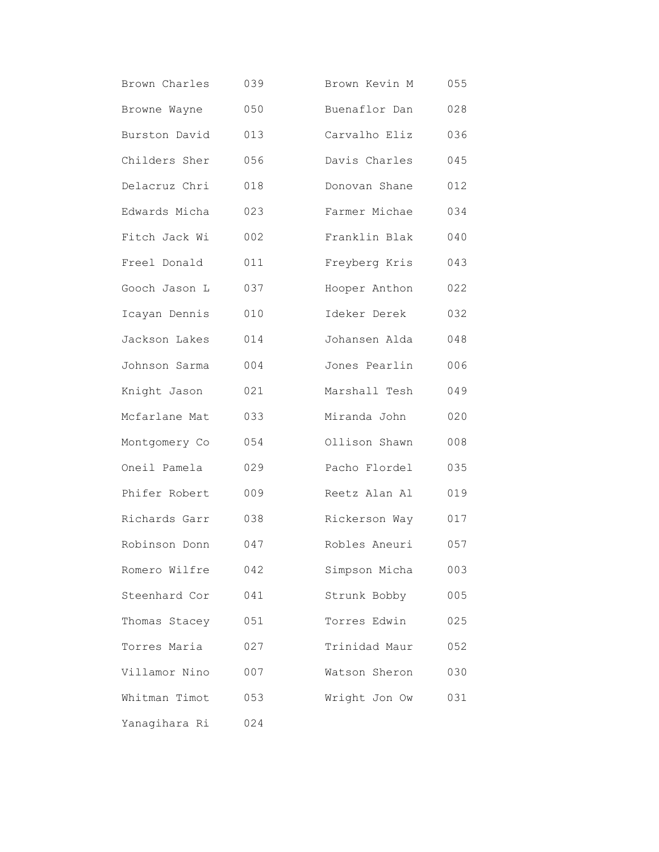| Brown Charles | 039 | Brown Kevin M | 055 |
|---------------|-----|---------------|-----|
| Browne Wayne  | 050 | Buenaflor Dan | 028 |
| Burston David | 013 | Carvalho Eliz | 036 |
| Childers Sher | 056 | Davis Charles | 045 |
| Delacruz Chri | 018 | Donovan Shane | 012 |
| Edwards Micha | 023 | Farmer Michae | 034 |
| Fitch Jack Wi | 002 | Franklin Blak | 040 |
| Freel Donald  | 011 | Freyberg Kris | 043 |
| Gooch Jason L | 037 | Hooper Anthon | 022 |
| Icayan Dennis | 010 | Ideker Derek  | 032 |
| Jackson Lakes | 014 | Johansen Alda | 048 |
| Johnson Sarma | 004 | Jones Pearlin | 006 |
| Knight Jason  | 021 | Marshall Tesh | 049 |
| Mcfarlane Mat | 033 | Miranda John  | 020 |
| Montgomery Co | 054 | Ollison Shawn | 008 |
| Oneil Pamela  | 029 | Pacho Flordel | 035 |
| Phifer Robert | 009 | Reetz Alan Al | 019 |
| Richards Garr | 038 | Rickerson Way | 017 |
| Robinson Donn | 047 | Robles Aneuri | 057 |
| Romero Wilfre | 042 | Simpson Micha | 003 |
| Steenhard Cor | 041 | Strunk Bobby  | 005 |
| Thomas Stacey | 051 | Torres Edwin  | 025 |
| Torres Maria  | 027 | Trinidad Maur | 052 |
| Villamor Nino | 007 | Watson Sheron | 030 |
| Whitman Timot | 053 | Wright Jon Ow | 031 |
| Yanagihara Ri | 024 |               |     |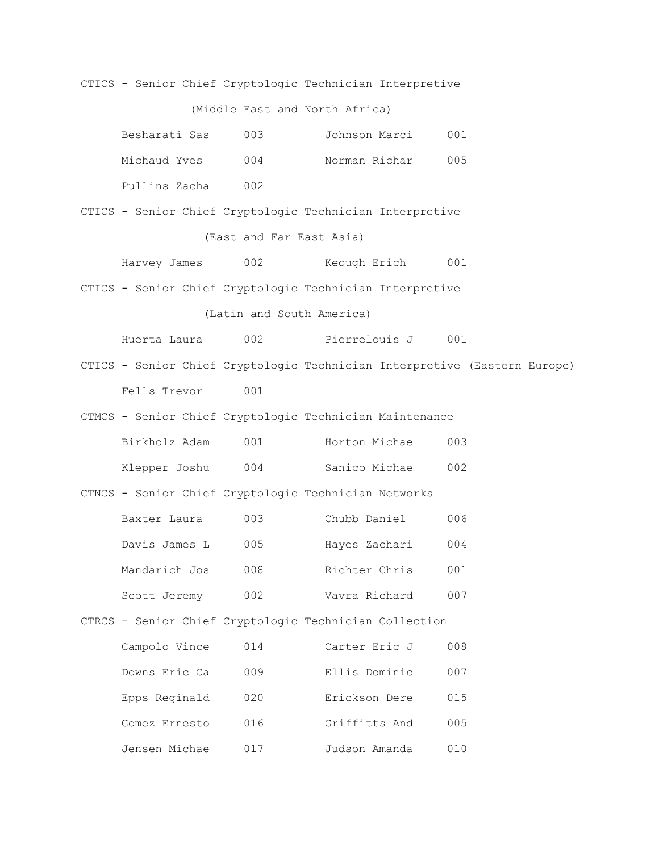CTICS - Senior Chief Cryptologic Technician Interpretive

(Middle East and North Africa)

| Besharati Sas | 003  | Johnson Marci | 001 |
|---------------|------|---------------|-----|
| Michaud Yves  | 004  | Norman Richar | 005 |
| Pullins Zacha | 002. |               |     |

CTICS - Senior Chief Cryptologic Technician Interpretive (East and Far East Asia)

Harvey James 002 Keough Erich 001

CTICS - Senior Chief Cryptologic Technician Interpretive

(Latin and South America)

Huerta Laura 002 Pierrelouis J 001

CTICS - Senior Chief Cryptologic Technician Interpretive (Eastern Europe) Fells Trevor 001

CTMCS - Senior Chief Cryptologic Technician Maintenance

| Birkholz Adam | 001 | Horton Michae | 003 |
|---------------|-----|---------------|-----|
| Klepper Joshu | 004 | Sanico Michae | 002 |

CTNCS - Senior Chief Cryptologic Technician Networks

| Baxter Laura  | 003 | Chubb Daniel  | 006 |
|---------------|-----|---------------|-----|
| Davis James L | 005 | Hayes Zachari | 004 |
| Mandarich Jos | 008 | Richter Chris | 001 |
| Scott Jeremy  | 002 | Vavra Richard | 007 |

CTRCS - Senior Chief Cryptologic Technician Collection

| Campolo Vince | 014   | Carter Eric J | 008 |
|---------------|-------|---------------|-----|
| Downs Eric Ca | 009   | Ellis Dominic | 007 |
| Epps Reginald | 020   | Erickson Dere | 015 |
| Gomez Ernesto | 016   | Griffitts And | 005 |
| Jensen Michae | N 1 7 | Judson Amanda | 010 |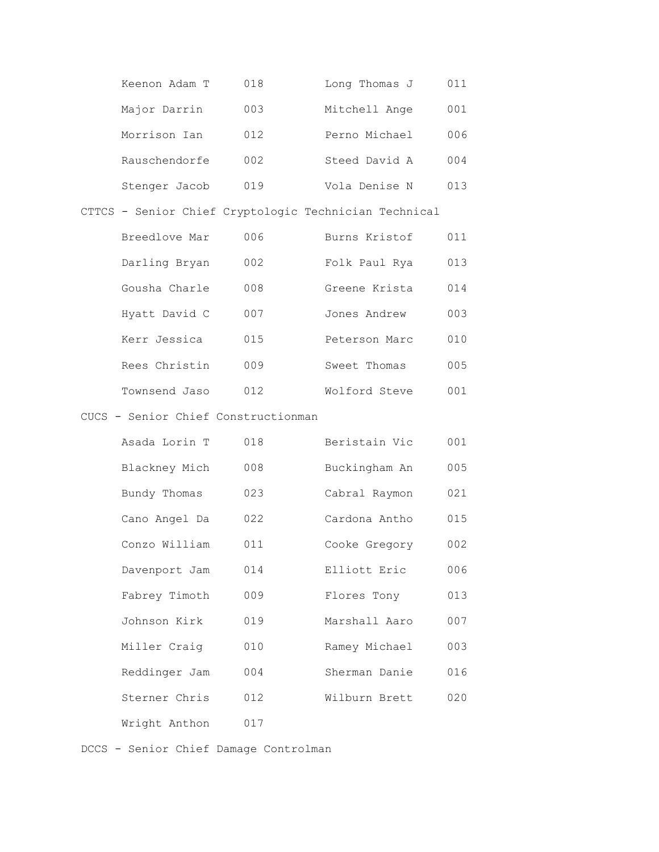| Keenon Adam T | 018 | Long Thomas J | 011 |
|---------------|-----|---------------|-----|
| Major Darrin  | 003 | Mitchell Ange | 001 |
| Morrison Ian  | 012 | Perno Michael | 006 |
| Rauschendorfe | 002 | Steed David A | 004 |
| Stenger Jacob | 019 | Vola Denise N | 013 |

CTTCS - Senior Chief Cryptologic Technician Technical

| Breedlove Mar | 006 | Burns Kristof | 011  |
|---------------|-----|---------------|------|
| Darling Bryan | 002 | Folk Paul Rya | 013  |
| Gousha Charle | 008 | Greene Krista | 014  |
| Hyatt David C | 007 | Jones Andrew  | 003  |
| Kerr Jessica  | 015 | Peterson Marc | 010  |
| Rees Christin | 009 | Sweet Thomas  | 005  |
| Townsend Jaso | 012 | Wolford Steve | NN 1 |

### CUCS - Senior Chief Constructionman

| Asada Lorin T | 018 | Beristain Vic | 001 |
|---------------|-----|---------------|-----|
| Blackney Mich | 008 | Buckingham An | 005 |
| Bundy Thomas  | 023 | Cabral Raymon | 021 |
| Cano Angel Da | 022 | Cardona Antho | 015 |
| Conzo William | 011 | Cooke Gregory | 002 |
| Davenport Jam | 014 | Elliott Eric  | 006 |
| Fabrey Timoth | 009 | Flores Tony   | 013 |
| Johnson Kirk  | 019 | Marshall Aaro | 007 |
| Miller Craig  | 010 | Ramey Michael | 003 |
| Reddinger Jam | 004 | Sherman Danie | 016 |
| Sterner Chris | 012 | Wilburn Brett | 020 |
| Wright Anthon | 017 |               |     |

DCCS - Senior Chief Damage Controlman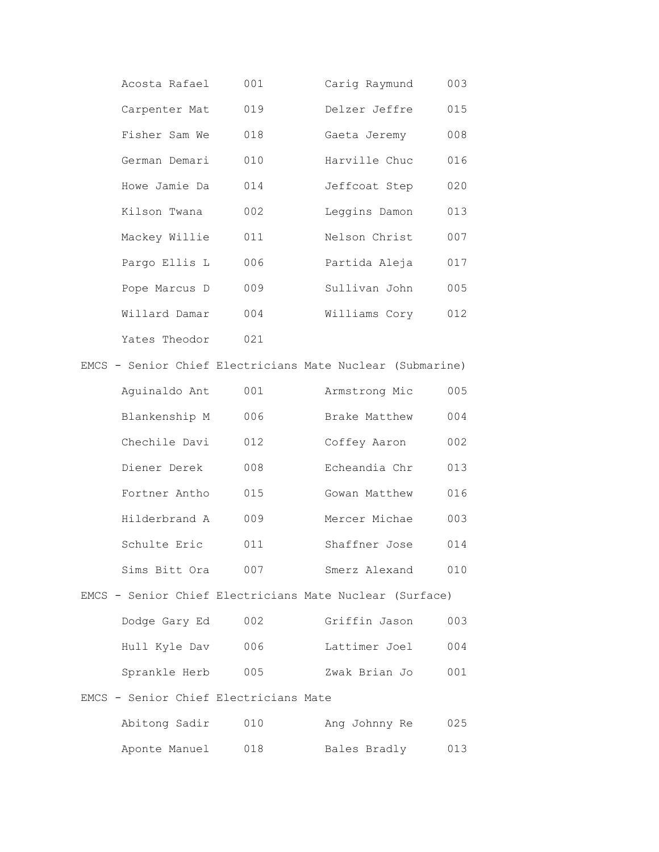| Acosta Rafael | 001 | Carig Raymund | 003 |
|---------------|-----|---------------|-----|
| Carpenter Mat | 019 | Delzer Jeffre | 015 |
| Fisher Sam We | 018 | Gaeta Jeremy  | 008 |
| German Demari | 010 | Harville Chuc | 016 |
| Howe Jamie Da | 014 | Jeffcoat Step | 020 |
| Kilson Twana  | 002 | Leggins Damon | 013 |
| Mackey Willie | 011 | Nelson Christ | 007 |
| Pargo Ellis L | 006 | Partida Aleja | 017 |
| Pope Marcus D | 009 | Sullivan John | 005 |
| Willard Damar | 004 | Williams Cory | 012 |
| Yates Theodor | 021 |               |     |
|               |     |               |     |

EMCS - Senior Chief Electricians Mate Nuclear (Submarine)

| Aquinaldo Ant | 001 | Armstrong Mic | 005 |
|---------------|-----|---------------|-----|
| Blankenship M | 006 | Brake Matthew | 004 |
| Chechile Davi | 012 | Coffey Aaron  | 002 |
| Diener Derek  | 008 | Echeandia Chr | 013 |
| Fortner Antho | 015 | Gowan Matthew | 016 |
| Hilderbrand A | 009 | Mercer Michae | 003 |
| Schulte Eric  | 011 | Shaffner Jose | 014 |
| Sims Bitt Ora | 007 | Smerz Alexand | 010 |

### EMCS - Senior Chief Electricians Mate Nuclear (Surface)

| Dodge Gary Ed | 002 | Griffin Jason | 003 |
|---------------|-----|---------------|-----|
| Hull Kyle Dav | 006 | Lattimer Joel | 004 |
| Sprankle Herb | 005 | Zwak Brian Jo | 001 |

### EMCS - Senior Chief Electricians Mate

| Abitong Sadir | 010 | Ang Johnny Re | 025 |
|---------------|-----|---------------|-----|
| Aponte Manuel | 018 | Bales Bradly  | 013 |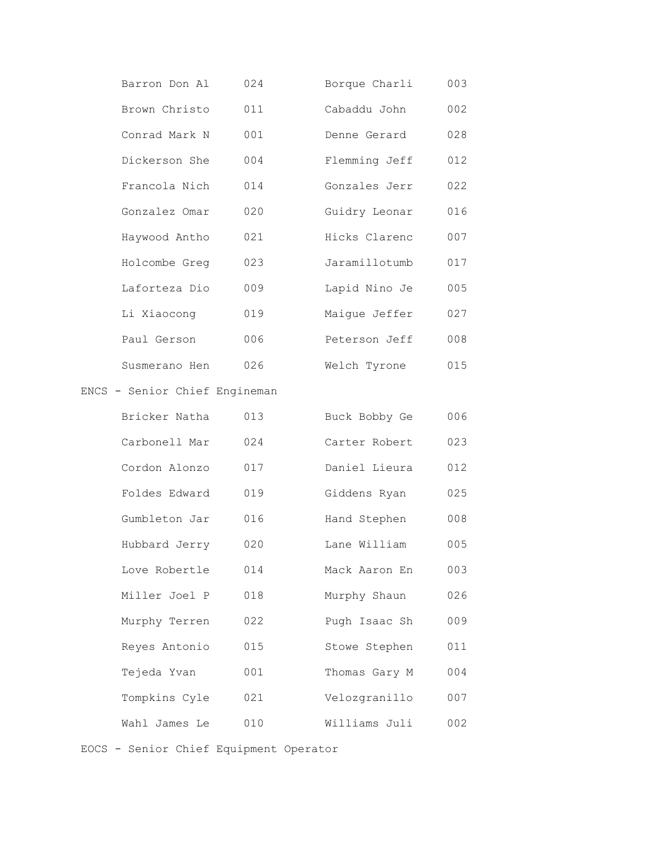| Barron Don Al                 | 024 | Borque Charli | 003 |
|-------------------------------|-----|---------------|-----|
| Brown Christo                 | 011 | Cabaddu John  | 002 |
| Conrad Mark N                 | 001 | Denne Gerard  | 028 |
| Dickerson She                 | 004 | Flemming Jeff | 012 |
| Francola Nich                 | 014 | Gonzales Jerr | 022 |
| Gonzalez Omar                 | 020 | Guidry Leonar | 016 |
| Haywood Antho                 | 021 | Hicks Clarenc | 007 |
| Holcombe Greg                 | 023 | Jaramillotumb | 017 |
| Laforteza Dio                 | 009 | Lapid Nino Je | 005 |
| Li Xiaocong                   | 019 | Maique Jeffer | 027 |
| Paul Gerson                   | 006 | Peterson Jeff | 008 |
| Susmerano Hen                 | 026 | Welch Tyrone  | 015 |
| ENCS - Senior Chief Engineman |     |               |     |
| Bricker Natha                 | 013 | Buck Bobby Ge | 006 |
| Carbonell Mar                 | 024 | Carter Robert | 023 |
| Cordon Alonzo                 | 017 | Daniel Lieura | 012 |
| Foldes Edward                 | 019 | Giddens Ryan  | 025 |
| Gumbleton Jar                 | 016 | Hand Stephen  | 008 |
| Hubbard Jerry                 | 020 | Lane William  | 005 |
| Love Robertle                 | 014 | Mack Aaron En | 003 |
| Miller Joel P                 | 018 | Murphy Shaun  | 026 |
| Murphy Terren                 | 022 | Pugh Isaac Sh | 009 |
| Reyes Antonio                 | 015 | Stowe Stephen | 011 |
| Tejeda Yvan                   | 001 | Thomas Gary M | 004 |
| Tompkins Cyle                 | 021 | Velozgranillo | 007 |
| Wahl James Le                 | 010 | Williams Juli | 002 |

EOCS - Senior Chief Equipment Operator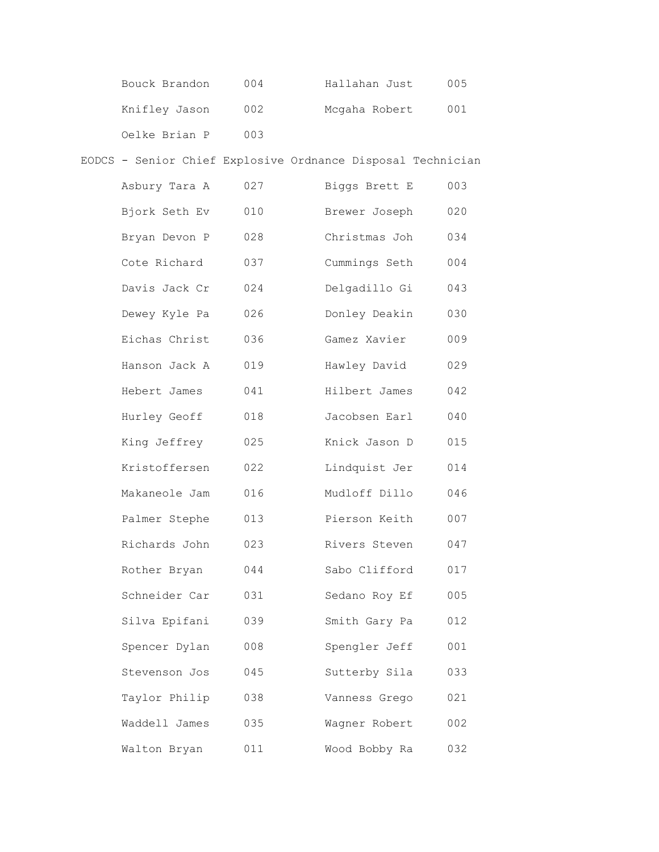| Bouck Brandon | 004 | Hallahan Just | 005 |
|---------------|-----|---------------|-----|
| Knifley Jason | 002 | Mcgaha Robert | 001 |
| Oelke Brian P | 003 |               |     |

# EODCS - Senior Chief Explosive Ordnance Disposal Technician

| Asbury Tara A | 027 | Biggs Brett E | 003 |
|---------------|-----|---------------|-----|
| Bjork Seth Ev | 010 | Brewer Joseph | 020 |
| Bryan Devon P | 028 | Christmas Joh | 034 |
| Cote Richard  | 037 | Cummings Seth | 004 |
| Davis Jack Cr | 024 | Delgadillo Gi | 043 |
| Dewey Kyle Pa | 026 | Donley Deakin | 030 |
| Eichas Christ | 036 | Gamez Xavier  | 009 |
| Hanson Jack A | 019 | Hawley David  | 029 |
| Hebert James  | 041 | Hilbert James | 042 |
| Hurley Geoff  | 018 | Jacobsen Earl | 040 |
| King Jeffrey  | 025 | Knick Jason D | 015 |
| Kristoffersen | 022 | Lindquist Jer | 014 |
| Makaneole Jam | 016 | Mudloff Dillo | 046 |
| Palmer Stephe | 013 | Pierson Keith | 007 |
| Richards John | 023 | Rivers Steven | 047 |
| Rother Bryan  | 044 | Sabo Clifford | 017 |
| Schneider Car | 031 | Sedano Roy Ef | 005 |
| Silva Epifani | 039 | Smith Gary Pa | 012 |
| Spencer Dylan | 008 | Spengler Jeff | 001 |
| Stevenson Jos | 045 | Sutterby Sila | 033 |
| Taylor Philip | 038 | Vanness Grego | 021 |
| Waddell James | 035 | Wagner Robert | 002 |
| Walton Bryan  | 011 | Wood Bobby Ra | 032 |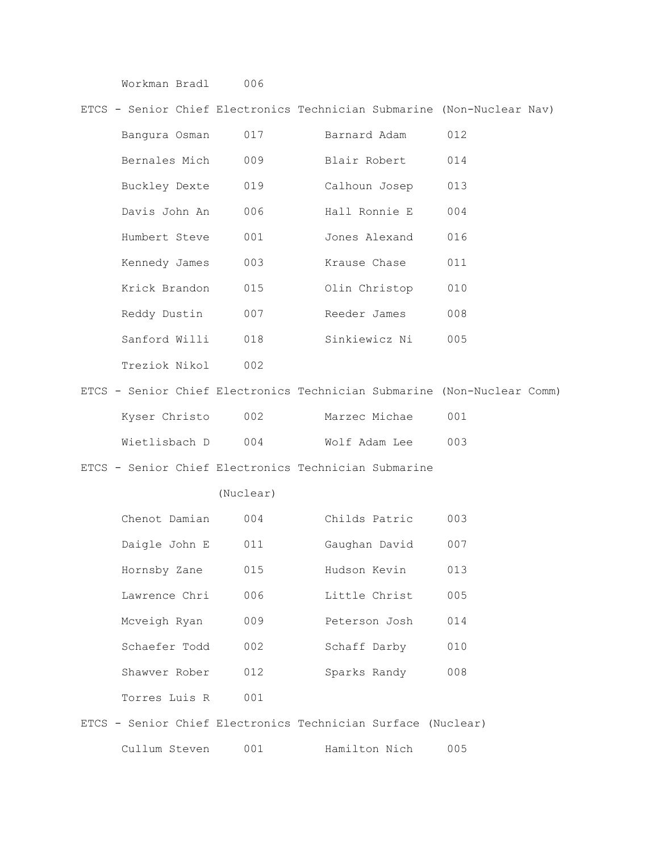Workman Bradl 006

#### ETCS - Senior Chief Electronics Technician Submarine (Non-Nuclear Nav)

| Bangura Osman | 017 | Barnard Adam  | 012 |
|---------------|-----|---------------|-----|
| Bernales Mich | 009 | Blair Robert  | 014 |
| Buckley Dexte | 019 | Calhoun Josep | 013 |
| Davis John An | 006 | Hall Ronnie E | 004 |
| Humbert Steve | 001 | Jones Alexand | 016 |
| Kennedy James | 003 | Krause Chase  | 011 |
| Krick Brandon | 015 | Olin Christop | 010 |
| Reddy Dustin  | 007 | Reeder James  | 008 |
| Sanford Willi | 018 | Sinkiewicz Ni | 005 |
| Treziok Nikol | 002 |               |     |
|               |     |               |     |

|  |               |     |               | ETCS - Senior Chief Electronics Technician Submarine (Non-Nuclear Comm) |  |
|--|---------------|-----|---------------|-------------------------------------------------------------------------|--|
|  | Kyser Christo | 002 | Marzec Michae | . N.N. 1                                                                |  |
|  | Wietlisbach D | 004 | Wolf Adam Lee | 00 S                                                                    |  |

#### ETCS - Senior Chief Electronics Technician Submarine

#### (Nuclear)

| Chenot Damian | 004 | Childs Patric | 003 |
|---------------|-----|---------------|-----|
| Daigle John E | 011 | Gaughan David | 007 |
| Hornsby Zane  | 015 | Hudson Kevin  | 013 |
| Lawrence Chri | 006 | Little Christ | 005 |
| Mcveigh Ryan  | 009 | Peterson Josh | 014 |
| Schaefer Todd | 002 | Schaff Darby  | 010 |
| Shawyer Rober | 012 | Sparks Randy  | 008 |
| Torres Luis R | 001 |               |     |

ETCS - Senior Chief Electronics Technician Surface (Nuclear) Cullum Steven 001 Hamilton Nich 005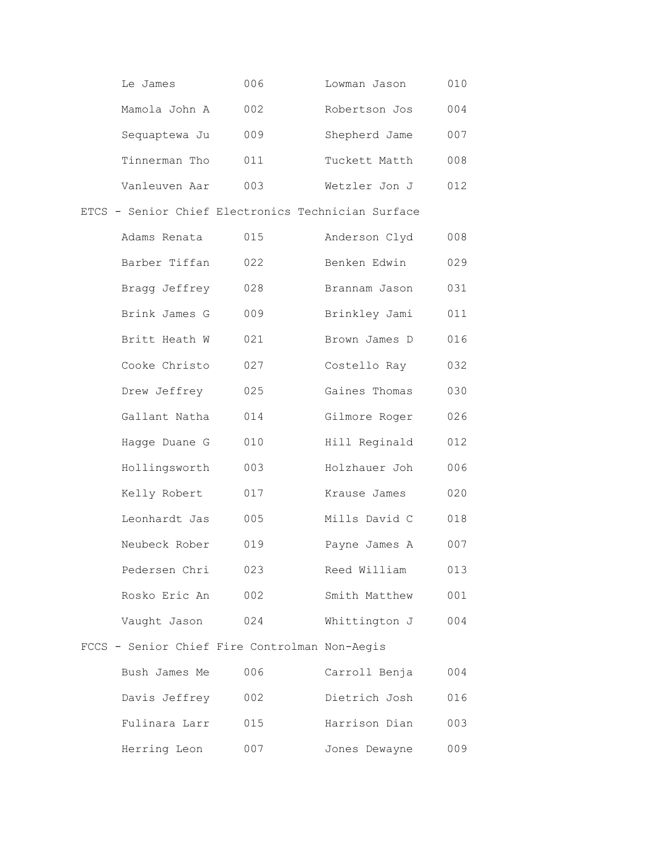| Le James      | 006 | Lowman Jason  | 010 |
|---------------|-----|---------------|-----|
| Mamola John A | 002 | Robertson Jos | 004 |
| Sequaptewa Ju | 009 | Shepherd Jame | 007 |
| Tinnerman Tho | 011 | Tuckett Matth | 008 |
| Vanleuven Aar | 003 | Wetzler Jon J | 012 |

### ETCS - Senior Chief Electronics Technician Surface

| Adams Renata  | 015 | Anderson Clyd | 008 |
|---------------|-----|---------------|-----|
| Barber Tiffan | 022 | Benken Edwin  | 029 |
| Bragg Jeffrey | 028 | Brannam Jason | 031 |
| Brink James G | 009 | Brinkley Jami | 011 |
| Britt Heath W | 021 | Brown James D | 016 |
| Cooke Christo | 027 | Costello Ray  | 032 |
| Drew Jeffrey  | 025 | Gaines Thomas | 030 |
| Gallant Natha | 014 | Gilmore Roger | 026 |
| Hagge Duane G | 010 | Hill Reginald | 012 |
| Hollingsworth | 003 | Holzhauer Joh | 006 |
| Kelly Robert  | 017 | Krause James  | 020 |
| Leonhardt Jas | 005 | Mills David C | 018 |
| Neubeck Rober | 019 | Payne James A | 007 |
| Pedersen Chri | 023 | Reed William  | 013 |
| Rosko Eric An | 002 | Smith Matthew | 001 |
| Vaught Jason  | 024 | Whittington J | 004 |
|               |     |               |     |

# FCCS - Senior Chief Fire Controlman Non-Aegis

| Bush James Me | 006 | Carroll Benja | 004 |
|---------------|-----|---------------|-----|
| Davis Jeffrey | 002 | Dietrich Josh | 016 |
| Fulinara Larr | 015 | Harrison Dian | 003 |
| Herring Leon  | 007 | Jones Dewayne | 009 |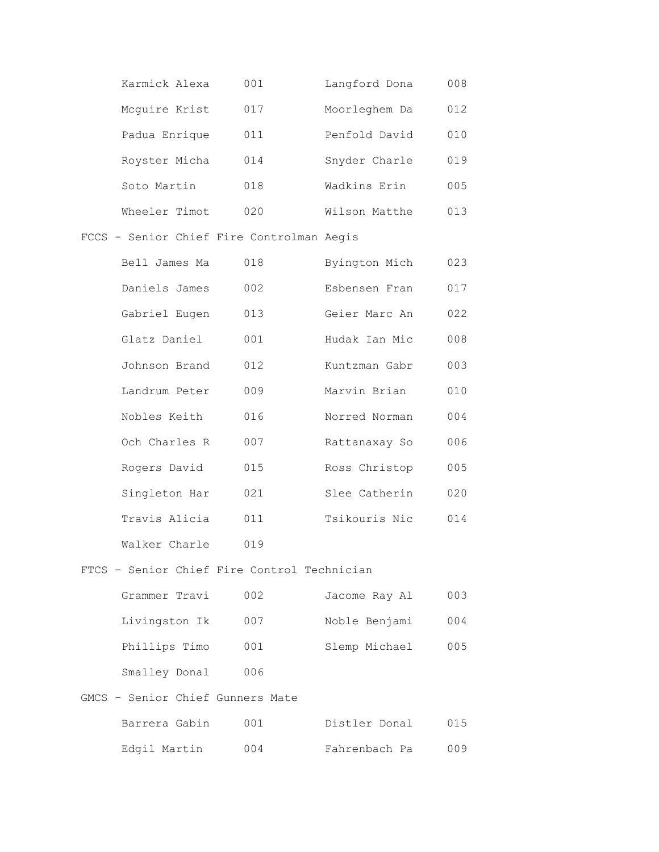| Karmick Alexa | 001 | Langford Dona | 008 |
|---------------|-----|---------------|-----|
| Mcquire Krist | 017 | Moorleghem Da | 012 |
| Padua Enrique | 011 | Penfold David | 010 |
| Royster Micha | 014 | Snyder Charle | 019 |
| Soto Martin   | 018 | Wadkins Erin  | 005 |
| Wheeler Timot | 020 | Wilson Matthe | 013 |

FCCS - Senior Chief Fire Controlman Aegis

| Bell James Ma | 018 | Byington Mich | 023 |
|---------------|-----|---------------|-----|
| Daniels James | 002 | Esbensen Fran | 017 |
| Gabriel Eugen | 013 | Geier Marc An | 022 |
| Glatz Daniel  | 001 | Hudak Ian Mic | 008 |
| Johnson Brand | 012 | Kuntzman Gabr | 003 |
| Landrum Peter | 009 | Marvin Brian  | 010 |
| Nobles Keith  | 016 | Norred Norman | 004 |
| Och Charles R | 007 | Rattanaxay So | 006 |
| Rogers David  | 015 | Ross Christop | 005 |
| Singleton Har | 021 | Slee Catherin | 020 |
| Travis Alicia | 011 | Tsikouris Nic | 014 |
| Walker Charle | 019 |               |     |

FTCS - Senior Chief Fire Control Technician

| Grammer Travi | 002 | Jacome Ray Al | 003 |
|---------------|-----|---------------|-----|
| Livingston Ik | 007 | Noble Benjami | 004 |
| Phillips Timo | 001 | Slemp Michael | 005 |
| Smalley Donal | 006 |               |     |

### GMCS - Senior Chief Gunners Mate

| Barrera Gabin | 001. | Distler Donal | 015 |
|---------------|------|---------------|-----|
| Edgil Martin  | 004  | Fahrenbach Pa | 009 |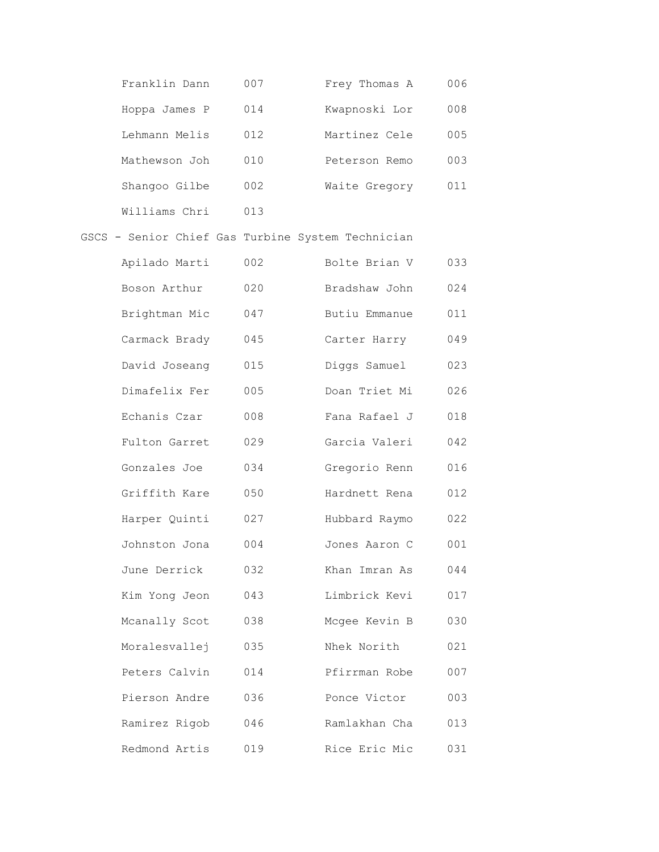| Franklin Dann | 007 | Frey Thomas A | 006 |
|---------------|-----|---------------|-----|
| Hoppa James P | 014 | Kwapnoski Lor | 008 |
| Lehmann Melis | 012 | Martinez Cele | 005 |
| Mathewson Joh | 010 | Peterson Remo | 003 |
| Shangoo Gilbe | 002 | Waite Gregory | 011 |
| Williams Chri | 013 |               |     |

# GSCS - Senior Chief Gas Turbine System Technician

| Apilado Marti | 002 | Bolte Brian V | 033 |
|---------------|-----|---------------|-----|
| Boson Arthur  | 020 | Bradshaw John | 024 |
| Brightman Mic | 047 | Butiu Emmanue | 011 |
| Carmack Brady | 045 | Carter Harry  | 049 |
| David Joseang | 015 | Diggs Samuel  | 023 |
| Dimafelix Fer | 005 | Doan Triet Mi | 026 |
| Echanis Czar  | 008 | Fana Rafael J | 018 |
| Fulton Garret | 029 | Garcia Valeri | 042 |
| Gonzales Joe  | 034 | Gregorio Renn | 016 |
| Griffith Kare | 050 | Hardnett Rena | 012 |
| Harper Quinti | 027 | Hubbard Raymo | 022 |
| Johnston Jona | 004 | Jones Aaron C | 001 |
| June Derrick  | 032 | Khan Imran As | 044 |
| Kim Yong Jeon | 043 | Limbrick Kevi | 017 |
| Mcanally Scot | 038 | Mcgee Kevin B | 030 |
| Moralesvallej | 035 | Nhek Norith   | 021 |
| Peters Calvin | 014 | Pfirrman Robe | 007 |
| Pierson Andre | 036 | Ponce Victor  | 003 |
| Ramirez Rigob | 046 | Ramlakhan Cha | 013 |
| Redmond Artis | 019 | Rice Eric Mic | 031 |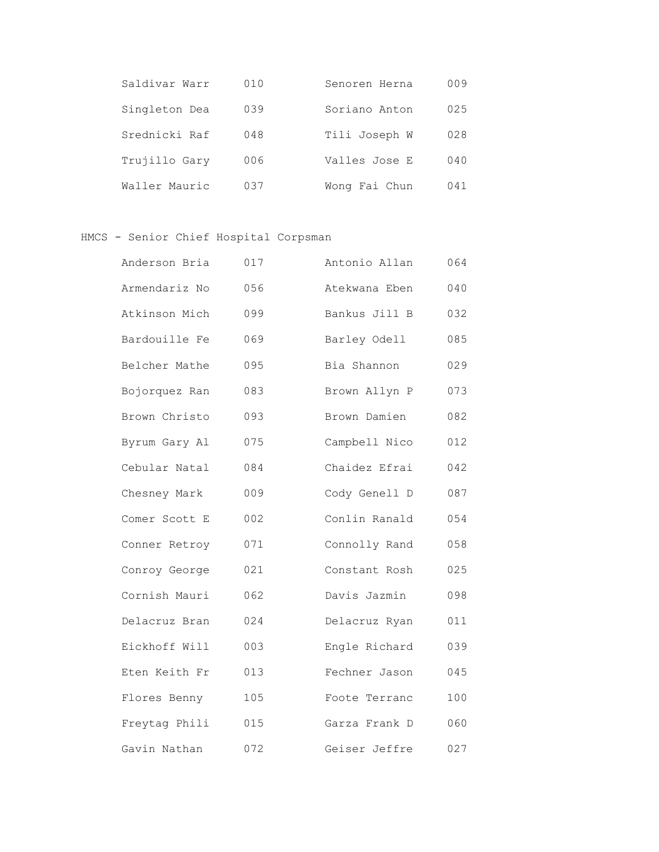| Saldiyar Warr | 010 | Senoren Herna | 009 |
|---------------|-----|---------------|-----|
| Singleton Dea | 039 | Soriano Anton | 025 |
| Srednicki Raf | 048 | Tili Joseph W | 028 |
| Trujillo Gary | 006 | Valles Jose E | 040 |
| Waller Mauric | 037 | Wong Fai Chun | 041 |

HMCS - Senior Chief Hospital Corpsman

| Anderson Bria | 017 | Antonio Allan | 064 |
|---------------|-----|---------------|-----|
| Armendariz No | 056 | Atekwana Eben | 040 |
| Atkinson Mich | 099 | Bankus Jill B | 032 |
| Bardouille Fe | 069 | Barley Odell  | 085 |
| Belcher Mathe | 095 | Bia Shannon   | 029 |
| Bojorquez Ran | 083 | Brown Allyn P | 073 |
| Brown Christo | 093 | Brown Damien  | 082 |
| Byrum Gary Al | 075 | Campbell Nico | 012 |
| Cebular Natal | 084 | Chaidez Efrai | 042 |
| Chesney Mark  | 009 | Cody Genell D | 087 |
| Comer Scott E | 002 | Conlin Ranald | 054 |
| Conner Retroy | 071 | Connolly Rand | 058 |
| Conroy George | 021 | Constant Rosh | 025 |
| Cornish Mauri | 062 | Davis Jazmin  | 098 |
| Delacruz Bran | 024 | Delacruz Ryan | 011 |
| Eickhoff Will | 003 | Engle Richard | 039 |
| Eten Keith Fr | 013 | Fechner Jason | 045 |
| Flores Benny  | 105 | Foote Terranc | 100 |
| Freytag Phili | 015 | Garza Frank D | 060 |
| Gavin Nathan  | 072 | Geiser Jeffre | 027 |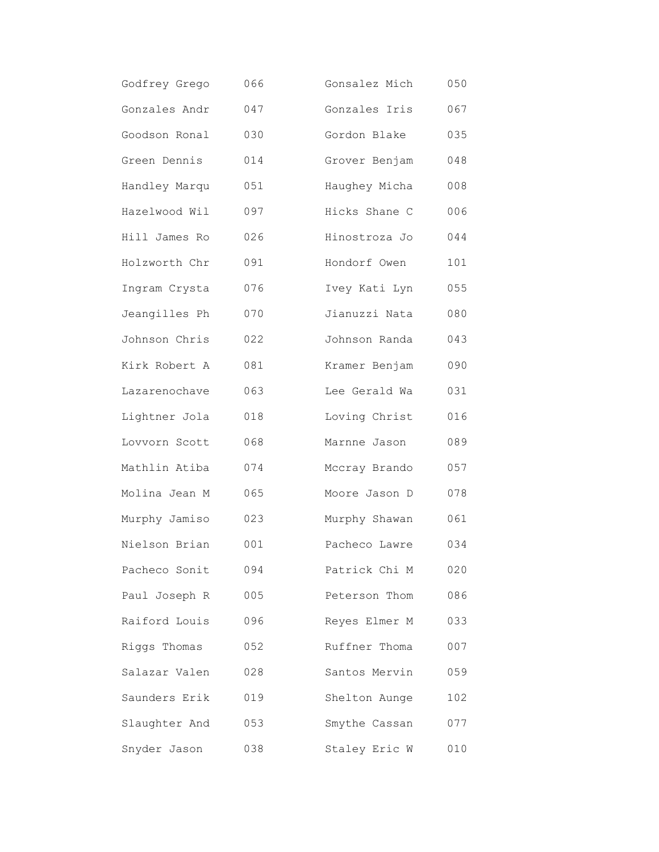| Godfrey Grego | 066 | Gonsalez Mich | 050 |
|---------------|-----|---------------|-----|
| Gonzales Andr | 047 | Gonzales Iris | 067 |
| Goodson Ronal | 030 | Gordon Blake  | 035 |
| Green Dennis  | 014 | Grover Benjam | 048 |
| Handley Marqu | 051 | Haughey Micha | 008 |
| Hazelwood Wil | 097 | Hicks Shane C | 006 |
| Hill James Ro | 026 | Hinostroza Jo | 044 |
| Holzworth Chr | 091 | Hondorf Owen  | 101 |
| Ingram Crysta | 076 | Ivey Kati Lyn | 055 |
| Jeangilles Ph | 070 | Jianuzzi Nata | 080 |
| Johnson Chris | 022 | Johnson Randa | 043 |
| Kirk Robert A | 081 | Kramer Benjam | 090 |
| Lazarenochave | 063 | Lee Gerald Wa | 031 |
| Lightner Jola | 018 | Loving Christ | 016 |
| Lovvorn Scott | 068 | Marnne Jason  | 089 |
| Mathlin Atiba | 074 | Mccray Brando | 057 |
| Molina Jean M | 065 | Moore Jason D | 078 |
| Murphy Jamiso | 023 | Murphy Shawan | 061 |
| Nielson Brian | 001 | Pacheco Lawre | 034 |
| Pacheco Sonit | 094 | Patrick Chi M | 020 |
| Paul Joseph R | 005 | Peterson Thom | 086 |
| Raiford Louis | 096 | Reyes Elmer M | 033 |
| Riggs Thomas  | 052 | Ruffner Thoma | 007 |
| Salazar Valen | 028 | Santos Mervin | 059 |
| Saunders Erik | 019 | Shelton Aunge | 102 |
| Slaughter And | 053 | Smythe Cassan | 077 |
| Snyder Jason  | 038 | Staley Eric W | 010 |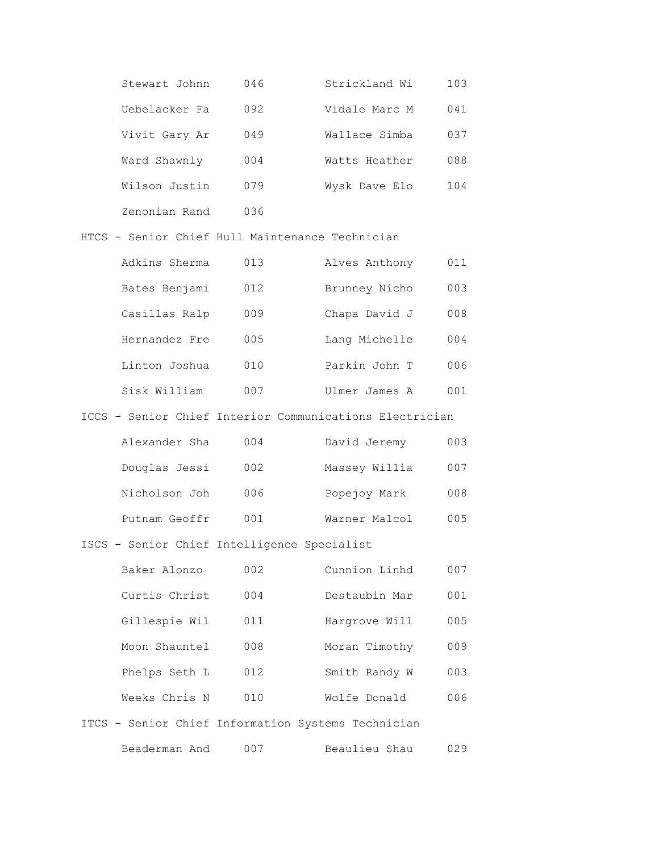| Stewart Johnn | 046 | Strickland Wi | 103 |
|---------------|-----|---------------|-----|
| Uebelacker Fa | 092 | Vidale Marc M | 041 |
| Vivit Gary Ar | 049 | Wallace Simba | 037 |
| Ward Shawnly  | 004 | Watts Heather | 088 |
| Wilson Justin | 079 | Wysk Dave Elo | 104 |
| Zenonian Rand | 036 |               |     |

### HTCS - Senior Chief Hull Maintenance Technician

| Adkins Sherma | 013 | Alves Anthony | 011 |
|---------------|-----|---------------|-----|
| Bates Benjami | 012 | Brunney Nicho | 003 |
| Casillas Ralp | 009 | Chapa David J | 008 |
| Hernandez Fre | 005 | Lang Michelle | 004 |
| Linton Joshua | 010 | Parkin John T | 006 |
| Sisk William  | 007 | Ulmer James A | 001 |

### ICCS - Senior Chief Interior Communications Electrician

| Alexander Sha | 004 | David Jeremy  | 003 |
|---------------|-----|---------------|-----|
| Douglas Jessi | 002 | Massey Willia | 007 |
| Nicholson Joh | 006 | Popejoy Mark  | 008 |
| Putnam Geoffr | 001 | Warner Malcol | 005 |

## ISCS - Senior Chief Intelligence Specialist

| Baker Alonzo  | 002 | Cunnion Linhd | 007 |
|---------------|-----|---------------|-----|
| Curtis Christ | 004 | Destaubin Mar | 001 |
| Gillespie Wil | 011 | Hargrove Will | 005 |
| Moon Shauntel | 008 | Moran Timothy | 009 |
| Phelps Seth L | 012 | Smith Randy W | 003 |
| Weeks Chris N | 010 | Wolfe Donald  | 006 |
|               |     |               |     |

# ITCS - Senior Chief Information Systems Technician

Beaderman And 007 Beaulieu Shau 029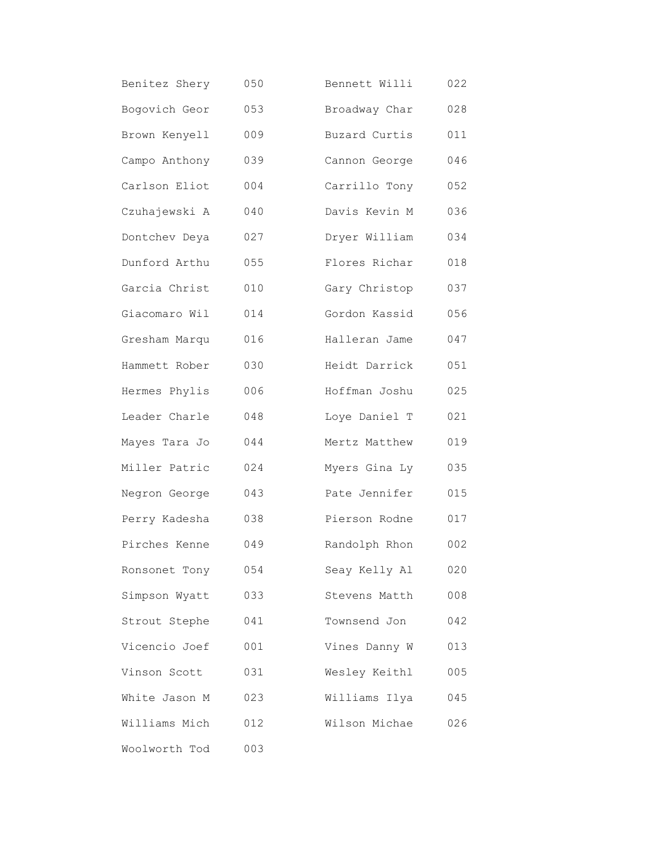| Benitez Shery | 050 | Bennett Willi | 022 |
|---------------|-----|---------------|-----|
| Bogovich Geor | 053 | Broadway Char | 028 |
| Brown Kenyell | 009 | Buzard Curtis | 011 |
| Campo Anthony | 039 | Cannon George | 046 |
| Carlson Eliot | 004 | Carrillo Tony | 052 |
| Czuhajewski A | 040 | Davis Kevin M | 036 |
| Dontchev Deya | 027 | Dryer William | 034 |
| Dunford Arthu | 055 | Flores Richar | 018 |
| Garcia Christ | 010 | Gary Christop | 037 |
| Giacomaro Wil | 014 | Gordon Kassid | 056 |
| Gresham Marqu | 016 | Halleran Jame | 047 |
| Hammett Rober | 030 | Heidt Darrick | 051 |
| Hermes Phylis | 006 | Hoffman Joshu | 025 |
| Leader Charle | 048 | Loye Daniel T | 021 |
| Mayes Tara Jo | 044 | Mertz Matthew | 019 |
| Miller Patric | 024 | Myers Gina Ly | 035 |
| Negron George | 043 | Pate Jennifer | 015 |
| Perry Kadesha | 038 | Pierson Rodne | 017 |
| Pirches Kenne | 049 | Randolph Rhon | 002 |
| Ronsonet Tony | 054 | Seay Kelly Al | 020 |
| Simpson Wyatt | 033 | Stevens Matth | 008 |
| Strout Stephe | 041 | Townsend Jon  | 042 |
| Vicencio Joef | 001 | Vines Danny W | 013 |
| Vinson Scott  | 031 | Wesley Keithl | 005 |
| White Jason M | 023 | Williams Ilya | 045 |
| Williams Mich | 012 | Wilson Michae | 026 |
| Woolworth Tod | 003 |               |     |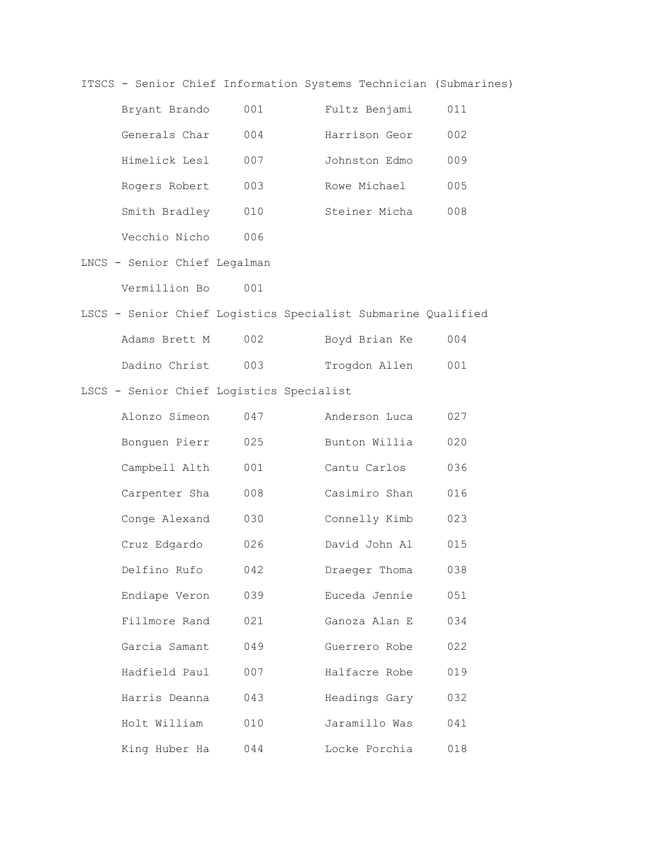ITSCS - Senior Chief Information Systems Technician (Submarines)

| Bryant Brando | 001 | Fultz Benjami | 011 |
|---------------|-----|---------------|-----|
| Generals Char | 004 | Harrison Geor | 002 |
| Himelick Lesl | 007 | Johnston Edmo | 009 |
| Rogers Robert | 003 | Rowe Michael  | 005 |
| Smith Bradley | 010 | Steiner Micha | 008 |
| Vecchio Nicho | 006 |               |     |

LNCS - Senior Chief Legalman

Vermillion Bo 001

# LSCS - Senior Chief Logistics Specialist Submarine Qualified

| Adams Brett M | 002 | Boyd Brian Ke | 004 |
|---------------|-----|---------------|-----|
| Dadino Christ | 003 | Trogdon Allen | 001 |

LSCS - Senior Chief Logistics Specialist

| Alonzo Simeon | 047 | Anderson Luca | 027 |
|---------------|-----|---------------|-----|
| Bonguen Pierr | 025 | Bunton Willia | 020 |
| Campbell Alth | 001 | Cantu Carlos  | 036 |
| Carpenter Sha | 008 | Casimiro Shan | 016 |
| Conge Alexand | 030 | Connelly Kimb | 023 |
| Cruz Edgardo  | 026 | David John Al | 015 |
| Delfino Rufo  | 042 | Draeger Thoma | 038 |
| Endiape Veron | 039 | Euceda Jennie | 051 |
| Fillmore Rand | 021 | Ganoza Alan E | 034 |
| Garcia Samant | 049 | Guerrero Robe | 022 |
| Hadfield Paul | 007 | Halfacre Robe | 019 |
| Harris Deanna | 043 | Headings Gary | 032 |
| Holt William  | 010 | Jaramillo Was | 041 |
| King Huber Ha | 044 | Locke Porchia | 018 |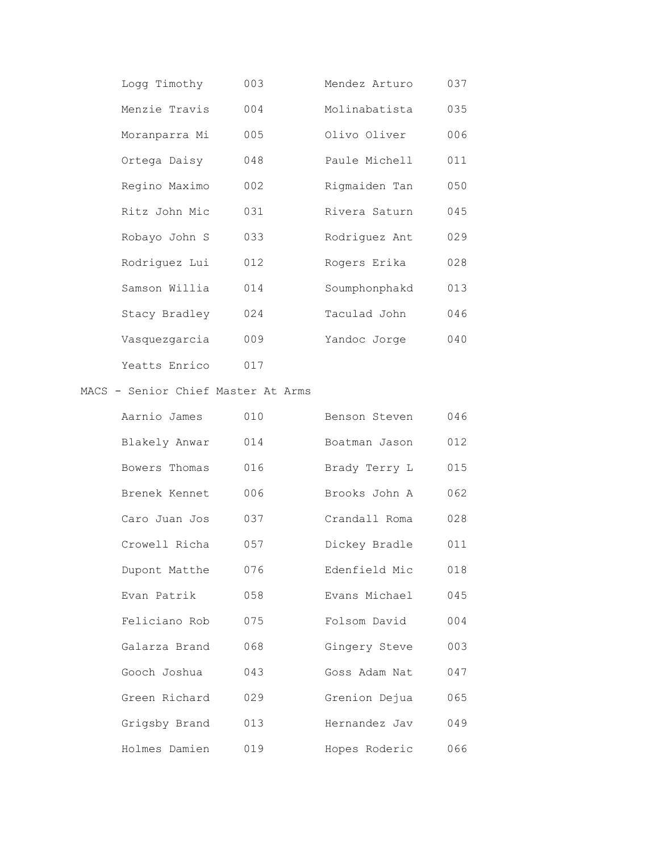| Logg Timothy  | 003 | Mendez Arturo | 037 |
|---------------|-----|---------------|-----|
| Menzie Travis | 004 | Molinabatista | 035 |
| Moranparra Mi | 005 | Olivo Oliver  | 006 |
| Ortega Daisy  | 048 | Paule Michell | 011 |
| Regino Maximo | 002 | Rigmaiden Tan | 050 |
| Ritz John Mic | 031 | Rivera Saturn | 045 |
| Robayo John S | 033 | Rodriquez Ant | 029 |
| Rodriquez Lui | 012 | Rogers Erika  | 028 |
| Samson Willia | 014 | Soumphonphakd | 013 |
| Stacy Bradley | 024 | Taculad John  | 046 |
| Vasquezgarcia | 009 | Yandoc Jorge  | 040 |
| Yeatts Enrico | 017 |               |     |

### MACS - Senior Chief Master At Arms

| Aarnio James  | 010 | Benson Steven | 046 |
|---------------|-----|---------------|-----|
| Blakely Anwar | 014 | Boatman Jason | 012 |
| Bowers Thomas | 016 | Brady Terry L | 015 |
| Brenek Kennet | 006 | Brooks John A | 062 |
| Caro Juan Jos | 037 | Crandall Roma | 028 |
| Crowell Richa | 057 | Dickey Bradle | 011 |
| Dupont Matthe | 076 | Edenfield Mic | 018 |
| Evan Patrik   | 058 | Evans Michael | 045 |
| Feliciano Rob | 075 | Folsom David  | 004 |
| Galarza Brand | 068 | Gingery Steve | 003 |
| Gooch Joshua  | 043 | Goss Adam Nat | 047 |
| Green Richard | 029 | Grenion Dejua | 065 |
| Grigsby Brand | 013 | Hernandez Jav | 049 |
| Holmes Damien | 019 | Hopes Roderic | 066 |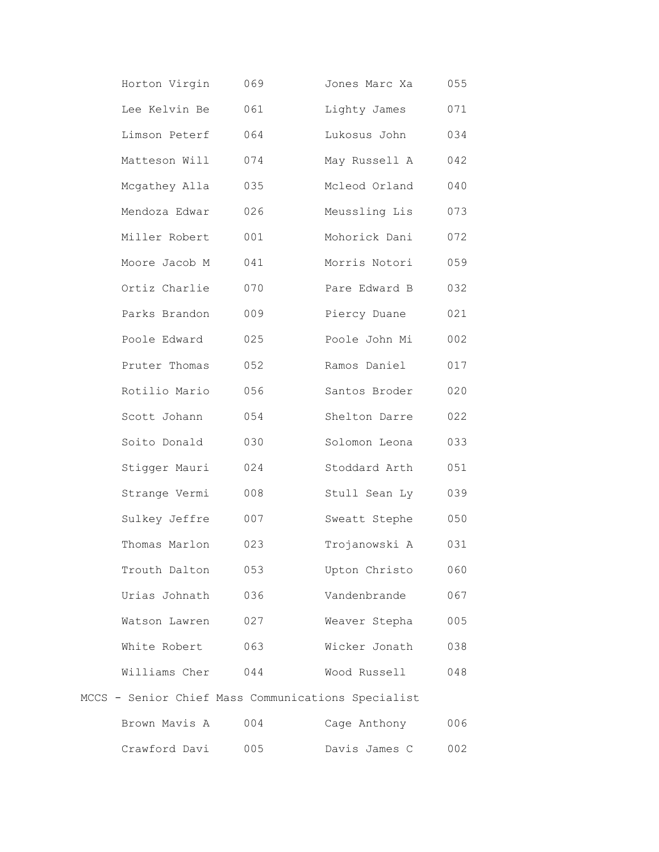| Horton Virgin | 069 | Jones Marc Xa                                      | 055                 |
|---------------|-----|----------------------------------------------------|---------------------|
| Lee Kelvin Be | 061 | Lighty James                                       | 071                 |
| Limson Peterf | 064 | Lukosus John                                       | 034                 |
| Matteson Will | 074 | May Russell A                                      | 042                 |
| Mcgathey Alla | 035 | Mcleod Orland                                      | 040                 |
| Mendoza Edwar | 026 | Meussling Lis                                      | 073                 |
| Miller Robert | 001 | Mohorick Dani                                      | 072                 |
| Moore Jacob M | 041 | Morris Notori                                      | 059                 |
| Ortiz Charlie | 070 | Pare Edward B                                      | 032                 |
| Parks Brandon | 009 | Piercy Duane                                       | 021                 |
| Poole Edward  | 025 | Poole John Mi                                      | 002                 |
| Pruter Thomas | 052 | Ramos Daniel                                       | 017                 |
| Rotilio Mario | 056 | Santos Broder                                      | 020                 |
| Scott Johann  | 054 | Shelton Darre                                      | 022                 |
| Soito Donald  | 030 | Solomon Leona                                      | 033                 |
| Stigger Mauri | 024 | Stoddard Arth                                      | 051                 |
| Strange Vermi | 008 | Stull Sean Ly                                      | 039                 |
| Sulkey Jeffre | 007 | Sweatt Stephe                                      | 050                 |
| Thomas Marlon | 023 | Trojanowski A                                      | 031                 |
| Trouth Dalton | 053 | Upton Christo                                      | 060                 |
| Urias Johnath | 036 | Vandenbrande                                       | 067                 |
| Watson Lawren | 027 | Weaver Stepha                                      | 005                 |
| White Robert  | 063 | Wicker Jonath                                      | 038                 |
| Williams Cher | 044 | Wood Russell                                       | 048                 |
|               |     | MCCS - Senior Chief Mass Communications Specialist |                     |
|               |     | $Brown$ $M = 7$                                    | $\cap \cap \subset$ |

| Brown Mavis A | 004 | Cage Anthony |               | 006 |
|---------------|-----|--------------|---------------|-----|
| Crawford Davi | 005 |              | Davis James C | 002 |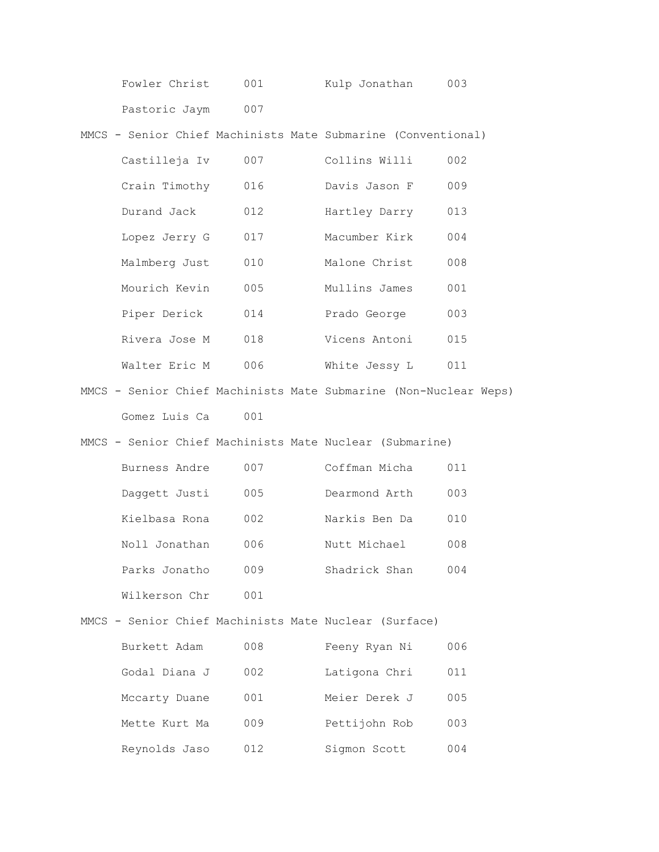| Fowler Christ | 001 | Kulp Jonathan | 003 |
|---------------|-----|---------------|-----|
| Pastoric Jaym | 007 |               |     |

MMCS - Senior Chief Machinists Mate Submarine (Conventional)

| Castilleja Iv | 007 | Collins Willi | 002 |
|---------------|-----|---------------|-----|
| Crain Timothy | 016 | Davis Jason F | 009 |
| Durand Jack   | 012 | Hartley Darry | 013 |
| Lopez Jerry G | 017 | Macumber Kirk | 004 |
| Malmberg Just | 010 | Malone Christ | 008 |
| Mourich Kevin | 005 | Mullins James | 001 |
| Piper Derick  | 014 | Prado George  | 003 |
| Rivera Jose M | 018 | Vicens Antoni | 015 |
| Walter Eric M | 006 | White Jessy L | 011 |

MMCS - Senior Chief Machinists Mate Submarine (Non-Nuclear Weps) Gomez Luis Ca 001

MMCS - Senior Chief Machinists Mate Nuclear (Submarine)

| Burness Andre | 007 | Coffman Micha | 011 |
|---------------|-----|---------------|-----|
| Daggett Justi | 005 | Dearmond Arth | 003 |
| Kielbasa Rona | 002 | Narkis Ben Da | 010 |
| Noll Jonathan | 006 | Nutt Michael  | 008 |
| Parks Jonatho | 009 | Shadrick Shan | 004 |
| Wilkerson Chr | 001 |               |     |

MMCS - Senior Chief Machinists Mate Nuclear (Surface)

| Burkett Adam  | 008 | Feeny Ryan Ni | 006 |
|---------------|-----|---------------|-----|
| Godal Diana J | 002 | Latigona Chri | 011 |
| Mccarty Duane | 001 | Meier Derek J | 005 |
| Mette Kurt Ma | 009 | Pettijohn Rob | 003 |
| Reynolds Jaso | 012 | Sigmon Scott  | 004 |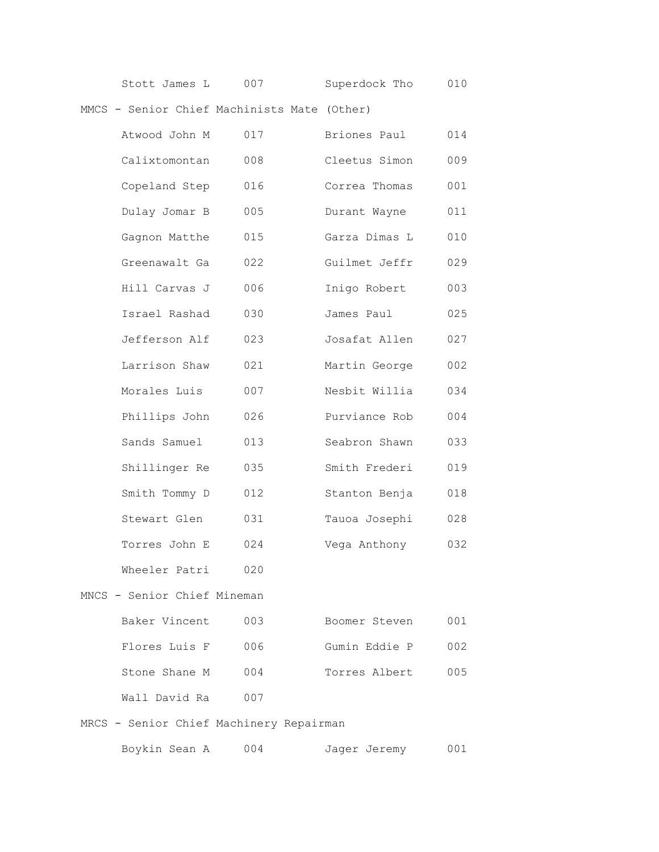| Stott James L | Superdock Tho | 010 |
|---------------|---------------|-----|
|---------------|---------------|-----|

MMCS - Senior Chief Machinists Mate (Other)

| Atwood John M | 017 | Briones Paul  | 014 |
|---------------|-----|---------------|-----|
| Calixtomontan | 008 | Cleetus Simon | 009 |
| Copeland Step | 016 | Correa Thomas | 001 |
| Dulay Jomar B | 005 | Durant Wayne  | 011 |
| Gagnon Matthe | 015 | Garza Dimas L | 010 |
| Greenawalt Ga | 022 | Guilmet Jeffr | 029 |
| Hill Carvas J | 006 | Inigo Robert  | 003 |
| Israel Rashad | 030 | James Paul    | 025 |
| Jefferson Alf | 023 | Josafat Allen | 027 |
| Larrison Shaw | 021 | Martin George | 002 |
| Morales Luis  | 007 | Nesbit Willia | 034 |
| Phillips John | 026 | Purviance Rob | 004 |
| Sands Samuel  | 013 | Seabron Shawn | 033 |
| Shillinger Re | 035 | Smith Frederi | 019 |
| Smith Tommy D | 012 | Stanton Benja | 018 |
| Stewart Glen  | 031 | Tauoa Josephi | 028 |
| Torres John E | 024 | Vega Anthony  | 032 |
| Wheeler Patri | 020 |               |     |
|               |     |               |     |

### MNCS - Senior Chief Mineman

| Baker Vincent | 003   | Boomer Steven | 001 |
|---------------|-------|---------------|-----|
| Flores Luis F | - 006 | Gumin Eddie P | 002 |
| Stone Shane M | 004   | Torres Albert | 005 |
| Wall David Ra | 007   |               |     |

MRCS - Senior Chief Machinery Repairman

| Boykin Sean A<br>004 | Jager Jeremy | 001 |
|----------------------|--------------|-----|
|----------------------|--------------|-----|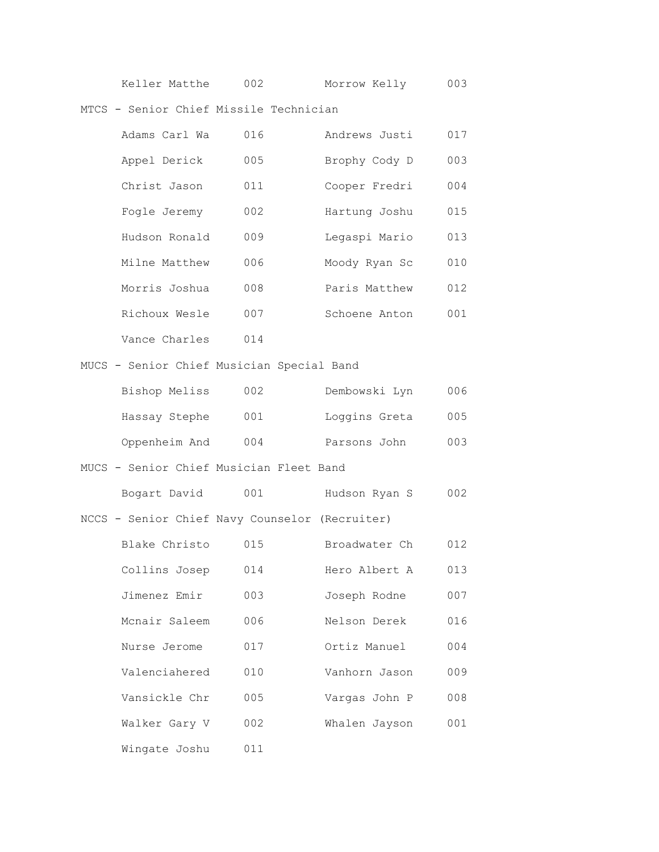| 002<br>Keller Matthe | Morrow Kelly | 003 |
|----------------------|--------------|-----|
|----------------------|--------------|-----|

MTCS - Senior Chief Missile Technician

| Adams Carl Wa | 016 | Andrews Justi | 017 |
|---------------|-----|---------------|-----|
| Appel Derick  | 005 | Brophy Cody D | 003 |
| Christ Jason  | 011 | Cooper Fredri | 004 |
| Fogle Jeremy  | 002 | Hartung Joshu | 015 |
| Hudson Ronald | 009 | Legaspi Mario | 013 |
| Milne Matthew | 006 | Moody Ryan Sc | 010 |
| Morris Joshua | 008 | Paris Matthew | 012 |
| Richoux Wesle | 007 | Schoene Anton | 001 |
| Vance Charles | 014 |               |     |

MUCS - Senior Chief Musician Special Band

| Bishop Meliss | 002 | Dembowski Lyn | 006 |
|---------------|-----|---------------|-----|
| Hassay Stephe | 001 | Loggins Greta | 005 |
| Oppenheim And | 004 | Parsons John  | 003 |

## MUCS - Senior Chief Musician Fleet Band

| Bogart David | 001 | Hudson Ryan S |  | 002 |
|--------------|-----|---------------|--|-----|
|              |     |               |  |     |

NCCS - Senior Chief Navy Counselor (Recruiter)

| Blake Christo | 015 | Broadwater Ch | 012 |
|---------------|-----|---------------|-----|
| Collins Josep | 014 | Hero Albert A | 013 |
| Jimenez Emir  | 003 | Joseph Rodne  | 007 |
| Mcnair Saleem | 006 | Nelson Derek  | 016 |
| Nurse Jerome  | 017 | Ortiz Manuel  | 004 |
| Valenciahered | 010 | Vanhorn Jason | 009 |
| Vansickle Chr | 005 | Vargas John P | 008 |
| Walker Gary V | 002 | Whalen Jayson | 001 |
| Wingate Joshu | 011 |               |     |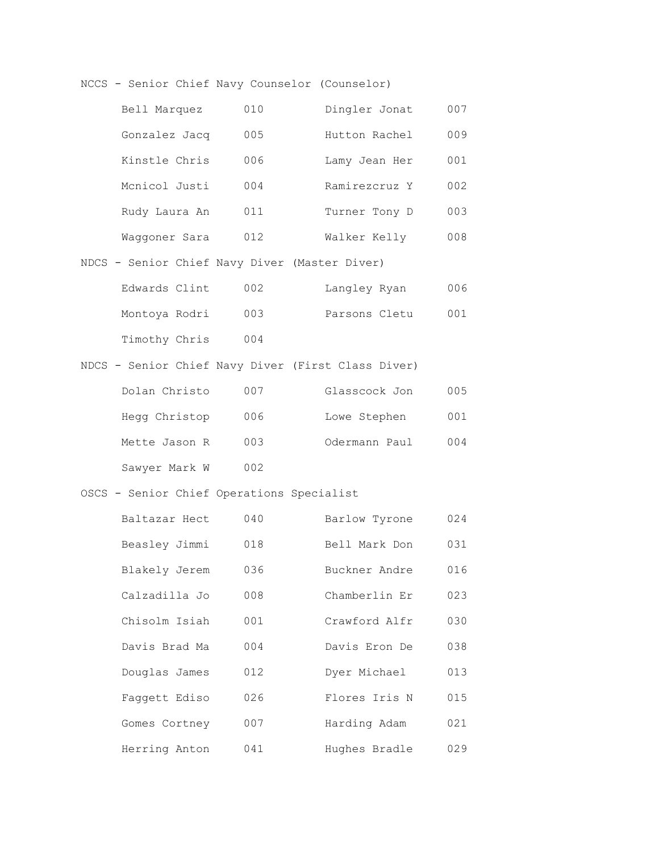NCCS - Senior Chief Navy Counselor (Counselor)

| Bell Marquez  | 010 | Dingler Jonat | 007  |
|---------------|-----|---------------|------|
| Gonzalez Jacq | 005 | Hutton Rachel | 009  |
| Kinstle Chris | 006 | Lamy Jean Her | 001  |
| Mcnicol Justi | 004 | Ramirezcruz Y | 002  |
| Rudy Laura An | 011 | Turner Tony D | 003  |
| Waqqoner Sara | 012 | Walker Kelly  | 008. |

NDCS - Senior Chief Navy Diver (Master Diver)

| Edwards Clint | 002 | Langley Ryan  | 006 |
|---------------|-----|---------------|-----|
| Montoya Rodri | 003 | Parsons Cletu | 001 |
| Timothy Chris | 004 |               |     |

NDCS - Senior Chief Navy Diver (First Class Diver)

| Dolan Christo | 007 | Glasscock Jon | 005 |
|---------------|-----|---------------|-----|
| Hegg Christop | 006 | Lowe Stephen  | 001 |
| Mette Jason R | 003 | Odermann Paul | 004 |
| Sawyer Mark W | 002 |               |     |

# OSCS - Senior Chief Operations Specialist

| Baltazar Hect | 040 | Barlow Tyrone | 024 |
|---------------|-----|---------------|-----|
| Beasley Jimmi | 018 | Bell Mark Don | 031 |
| Blakely Jerem | 036 | Buckner Andre | 016 |
| Calzadilla Jo | 008 | Chamberlin Er | 023 |
| Chisolm Isiah | 001 | Crawford Alfr | 030 |
| Davis Brad Ma | 004 | Davis Eron De | 038 |
| Douglas James | 012 | Dyer Michael  | 013 |
| Faqqett Ediso | 026 | Flores Iris N | 015 |
| Gomes Cortney | 007 | Harding Adam  | 021 |
| Herring Anton | 041 | Hughes Bradle | 029 |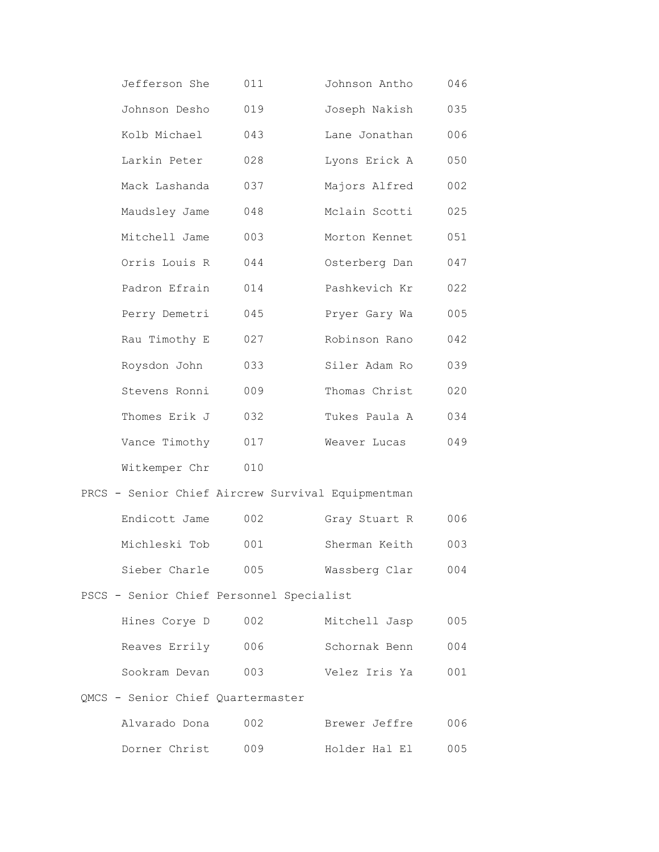| Jefferson She                            | 011 | Johnson Antho                                     | 046 |
|------------------------------------------|-----|---------------------------------------------------|-----|
| Johnson Desho                            | 019 | Joseph Nakish                                     | 035 |
| Kolb Michael                             | 043 | Lane Jonathan                                     | 006 |
| Larkin Peter                             | 028 | Lyons Erick A                                     | 050 |
| Mack Lashanda                            | 037 | Majors Alfred                                     | 002 |
| Maudsley Jame                            | 048 | Mclain Scotti                                     | 025 |
| Mitchell Jame                            | 003 | Morton Kennet                                     | 051 |
| Orris Louis R                            | 044 | Osterberg Dan                                     | 047 |
| Padron Efrain                            | 014 | Pashkevich Kr                                     | 022 |
| Perry Demetri                            | 045 | Pryer Gary Wa                                     | 005 |
| Rau Timothy E                            | 027 | Robinson Rano                                     | 042 |
| Roysdon John                             | 033 | Siler Adam Ro                                     | 039 |
| Stevens Ronni                            | 009 | Thomas Christ                                     | 020 |
| Thomes Erik J                            | 032 | Tukes Paula A                                     | 034 |
| Vance Timothy                            | 017 | Weaver Lucas                                      | 049 |
| Witkemper Chr                            | 010 |                                                   |     |
|                                          |     | PRCS - Senior Chief Aircrew Survival Equipmentman |     |
| Endicott Jame                            | 002 | Gray Stuart R                                     | 006 |
| Michleski Tob                            | 001 | Sherman Keith                                     | 003 |
| Sieber Charle 005                        |     | Wassberg Clar                                     | 004 |
| PSCS - Senior Chief Personnel Specialist |     |                                                   |     |
| Hines Corye D                            | 002 | Mitchell Jasp                                     | 005 |
| Reaves Errily 006                        |     | Schornak Benn                                     | 004 |
| Sookram Devan                            | 003 | Velez Iris Ya                                     | 001 |
| QMCS - Senior Chief Quartermaster        |     |                                                   |     |
| Alvarado Dona                            | 002 | Brewer Jeffre                                     | 006 |
| Dorner Christ                            | 009 | Holder Hal El                                     | 005 |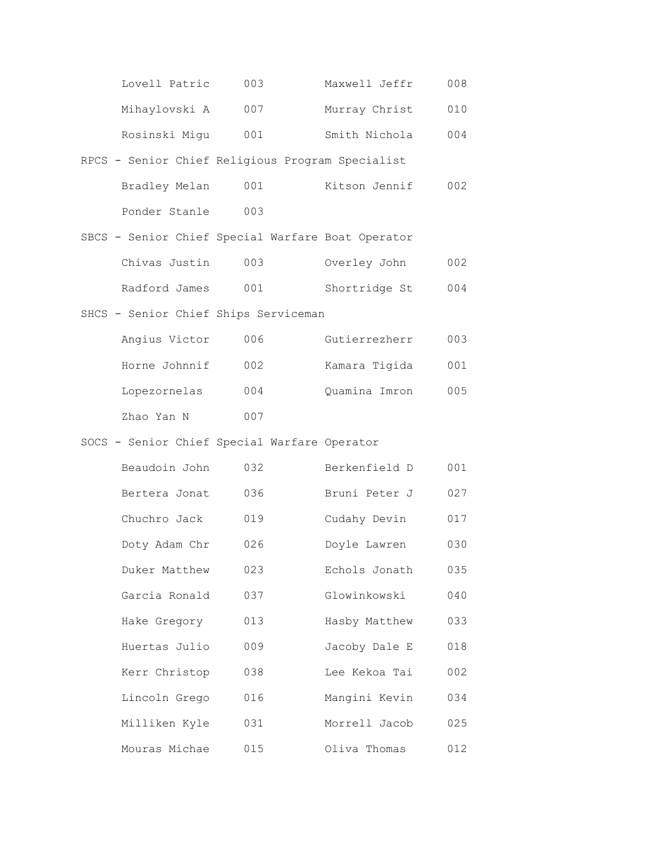| Lovell Patric | 003 | Maxwell Jeffr | 008 |
|---------------|-----|---------------|-----|
| Mihaylovski A | 007 | Murray Christ | 010 |
| Rosinski Migu | 001 | Smith Nichola | 004 |

# RPCS - Senior Chief Religious Program Specialist Bradley Melan 001 Kitson Jennif 002 Ponder Stanle 003

|               |     | SBCS - Senior Chief Special Warfare Boat Operator |     |
|---------------|-----|---------------------------------------------------|-----|
| Chivas Justin | 003 | Overley John                                      | 002 |
| Radford James | 001 | Shortridge St                                     | 004 |

## SHCS - Senior Chief Ships Serviceman

| Angius Victor | 006 | Gutierrezherr | 003 |
|---------------|-----|---------------|-----|
| Horne Johnnif | 002 | Kamara Tigida | 001 |
| Lopezornelas  | 004 | Ouamina Imron | 005 |
| Zhao Yan N    | 007 |               |     |

# SOCS - Senior Chief Special Warfare Operator

| Beaudoin John | 032 | Berkenfield D | 001 |
|---------------|-----|---------------|-----|
| Bertera Jonat | 036 | Bruni Peter J | 027 |
| Chuchro Jack  | 019 | Cudahy Devin  | 017 |
| Doty Adam Chr | 026 | Doyle Lawren  | 030 |
| Duker Matthew | 023 | Echols Jonath | 035 |
| Garcia Ronald | 037 | Glowinkowski  | 040 |
| Hake Gregory  | 013 | Hasby Matthew | 033 |
| Huertas Julio | 009 | Jacoby Dale E | 018 |
| Kerr Christop | 038 | Lee Kekoa Tai | 002 |
| Lincoln Grego | 016 | Mangini Kevin | 034 |
| Milliken Kyle | 031 | Morrell Jacob | 025 |
| Mouras Michae | 015 | Oliva Thomas  | 012 |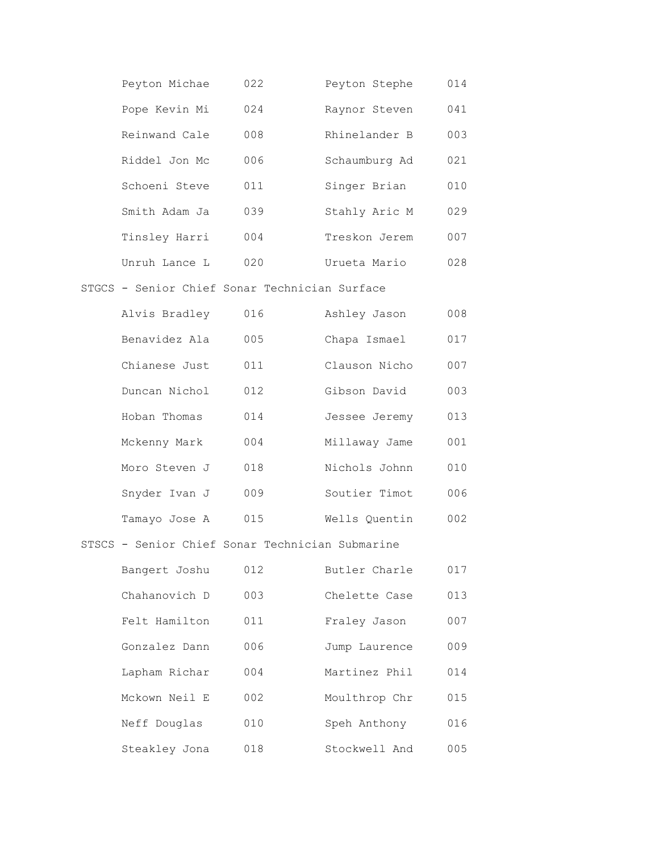| Peyton Michae | 022 | Peyton Stephe | 014 |
|---------------|-----|---------------|-----|
| Pope Kevin Mi | 024 | Raynor Steven | 041 |
| Reinwand Cale | 008 | Rhinelander B | 003 |
| Riddel Jon Mc | 006 | Schaumburg Ad | 021 |
| Schoeni Steve | 011 | Singer Brian  | 010 |
| Smith Adam Ja | 039 | Stahly Aric M | 029 |
| Tinsley Harri | 004 | Treskon Jerem | 007 |
| Unruh Lance L | 020 | Urueta Mario  | 028 |

### STGCS - Senior Chief Sonar Technician Surface

| Alvis Bradley | 016 | Ashley Jason  | 008 |
|---------------|-----|---------------|-----|
| Benavidez Ala | 005 | Chapa Ismael  | 017 |
| Chianese Just | 011 | Clauson Nicho | 007 |
| Duncan Nichol | 012 | Gibson David  | 003 |
| Hoban Thomas  | 014 | Jessee Jeremy | 013 |
| Mckenny Mark  | 004 | Millaway Jame | 001 |
| Moro Steven J | 018 | Nichols Johnn | 010 |
| Snyder Ivan J | 009 | Soutier Timot | 006 |
| Tamayo Jose A | 015 | Wells Ouentin | 002 |

### STSCS - Senior Chief Sonar Technician Submarine

| Bangert Joshu | 012 | Butler Charle | 017 |
|---------------|-----|---------------|-----|
| Chahanovich D | 003 | Chelette Case | 013 |
| Felt Hamilton | 011 | Fraley Jason  | 007 |
| Gonzalez Dann | 006 | Jump Laurence | 009 |
| Lapham Richar | 004 | Martinez Phil | 014 |
| Mckown Neil E | 002 | Moulthrop Chr | 015 |
| Neff Douglas  | 010 | Speh Anthony  | 016 |
| Steakley Jona | 018 | Stockwell And | 005 |